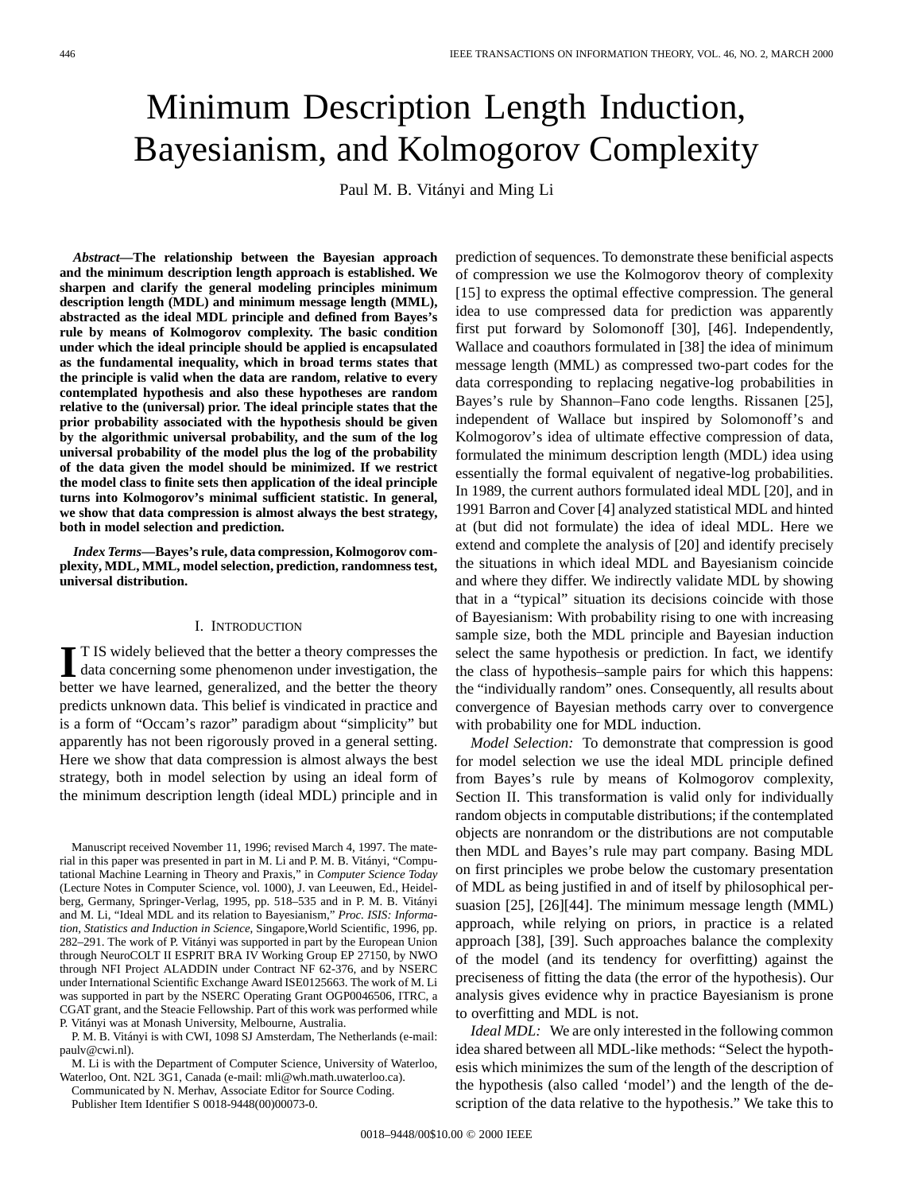# Minimum Description Length Induction, Bayesianism, and Kolmogorov Complexity

Paul M. B. Vitányi and Ming Li

*Abstract—***The relationship between the Bayesian approach and the minimum description length approach is established. We sharpen and clarify the general modeling principles minimum description length (MDL) and minimum message length (MML), abstracted as the ideal MDL principle and defined from Bayes's rule by means of Kolmogorov complexity. The basic condition under which the ideal principle should be applied is encapsulated as the fundamental inequality, which in broad terms states that the principle is valid when the data are random, relative to every contemplated hypothesis and also these hypotheses are random relative to the (universal) prior. The ideal principle states that the prior probability associated with the hypothesis should be given by the algorithmic universal probability, and the sum of the log universal probability of the model plus the log of the probability of the data given the model should be minimized. If we restrict the model class to finite sets then application of the ideal principle turns into Kolmogorov's minimal sufficient statistic. In general, we show that data compression is almost always the best strategy, both in model selection and prediction.**

*Index Terms—***Bayes's rule, data compression, Kolmogorov complexity, MDL, MML, model selection, prediction, randomness test, universal distribution.**

## I. INTRODUCTION

I<sup>I</sup> IS widely believed that the better a theory compresses the<br>data concerning some phenomenon under investigation, the<br>hatter we have learned approximately and the hatter the theory better we have learned, generalized, and the better the theory predicts unknown data. This belief is vindicated in practice and is a form of "Occam's razor" paradigm about "simplicity" but apparently has not been rigorously proved in a general setting. Here we show that data compression is almost always the best strategy, both in model selection by using an ideal form of the minimum description length (ideal MDL) principle and in

Manuscript received November 11, 1996; revised March 4, 1997. The material in this paper was presented in part in M. Li and P. M. B. Vitányi, "Computational Machine Learning in Theory and Praxis," in *Computer Science Today* (Lecture Notes in Computer Science, vol. 1000), J. van Leeuwen, Ed., Heidelberg, Germany, Springer-Verlag, 1995, pp. 518–535 and in P. M. B. Vitányi and M. Li, "Ideal MDL and its relation to Bayesianism," *Proc. ISIS: Information, Statistics and Induction in Science*, Singapore,World Scientific, 1996, pp. 282–291. The work of P. Vitányi was supported in part by the European Union through NeuroCOLT II ESPRIT BRA IV Working Group EP 27150, by NWO through NFI Project ALADDIN under Contract NF 62-376, and by NSERC under International Scientific Exchange Award ISE0125663. The work of M. Li was supported in part by the NSERC Operating Grant OGP0046506, ITRC, a CGAT grant, and the Steacie Fellowship. Part of this work was performed while P. Vitányi was at Monash University, Melbourne, Australia.

P. M. B. Vitányi is with CWI, 1098 SJ Amsterdam, The Netherlands (e-mail: paulv@cwi.nl).

M. Li is with the Department of Computer Science, University of Waterloo, Waterloo, Ont. N2L 3G1, Canada (e-mail: mli@wh.math.uwaterloo.ca).

Communicated by N. Merhav, Associate Editor for Source Coding. Publisher Item Identifier S 0018-9448(00)00073-0.

prediction of sequences. To demonstrate these benificial aspects of compression we use the Kolmogorov theory of complexity [15] to express the optimal effective compression. The general idea to use compressed data for prediction was apparently first put forward by Solomonoff [30], [46]. Independently, Wallace and coauthors formulated in [38] the idea of minimum message length (MML) as compressed two-part codes for the data corresponding to replacing negative-log probabilities in Bayes's rule by Shannon–Fano code lengths. Rissanen [25], independent of Wallace but inspired by Solomonoff's and Kolmogorov's idea of ultimate effective compression of data, formulated the minimum description length (MDL) idea using essentially the formal equivalent of negative-log probabilities. In 1989, the current authors formulated ideal MDL [20], and in 1991 Barron and Cover [4] analyzed statistical MDL and hinted at (but did not formulate) the idea of ideal MDL. Here we extend and complete the analysis of [20] and identify precisely the situations in which ideal MDL and Bayesianism coincide and where they differ. We indirectly validate MDL by showing that in a "typical" situation its decisions coincide with those of Bayesianism: With probability rising to one with increasing sample size, both the MDL principle and Bayesian induction select the same hypothesis or prediction. In fact, we identify the class of hypothesis–sample pairs for which this happens: the "individually random" ones. Consequently, all results about convergence of Bayesian methods carry over to convergence with probability one for MDL induction.

*Model Selection:* To demonstrate that compression is good for model selection we use the ideal MDL principle defined from Bayes's rule by means of Kolmogorov complexity, Section II. This transformation is valid only for individually random objects in computable distributions; if the contemplated objects are nonrandom or the distributions are not computable then MDL and Bayes's rule may part company. Basing MDL on first principles we probe below the customary presentation of MDL as being justified in and of itself by philosophical persuasion [25], [26][44]. The minimum message length (MML) approach, while relying on priors, in practice is a related approach [38], [39]. Such approaches balance the complexity of the model (and its tendency for overfitting) against the preciseness of fitting the data (the error of the hypothesis). Our analysis gives evidence why in practice Bayesianism is prone to overfitting and MDL is not.

*Ideal MDL:* We are only interested in the following common idea shared between all MDL-like methods: "Select the hypothesis which minimizes the sum of the length of the description of the hypothesis (also called 'model') and the length of the description of the data relative to the hypothesis." We take this to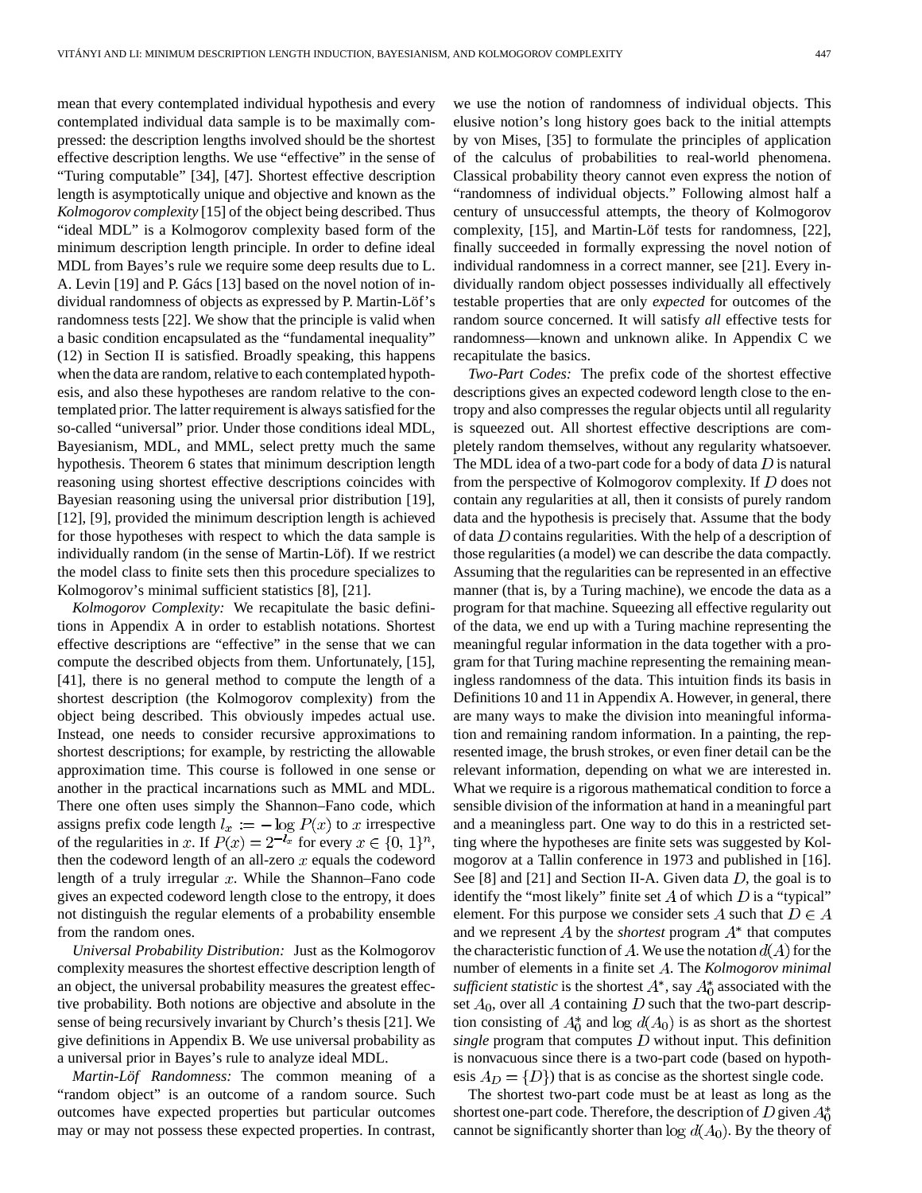mean that every contemplated individual hypothesis and every contemplated individual data sample is to be maximally compressed: the description lengths involved should be the shortest effective description lengths. We use "effective" in the sense of "Turing computable" [34], [47]. Shortest effective description length is asymptotically unique and objective and known as the *Kolmogorov complexity* [15] of the object being described. Thus "ideal MDL" is a Kolmogorov complexity based form of the minimum description length principle. In order to define ideal MDL from Bayes's rule we require some deep results due to L. A. Levin [19] and P. Gács [13] based on the novel notion of individual randomness of objects as expressed by P. Martin-Löf's randomness tests [22]. We show that the principle is valid when a basic condition encapsulated as the "fundamental inequality" (12) in Section II is satisfied. Broadly speaking, this happens when the data are random, relative to each contemplated hypothesis, and also these hypotheses are random relative to the contemplated prior. The latter requirement is always satisfied for the so-called "universal" prior. Under those conditions ideal MDL, Bayesianism, MDL, and MML, select pretty much the same hypothesis. Theorem 6 states that minimum description length reasoning using shortest effective descriptions coincides with Bayesian reasoning using the universal prior distribution [19], [12], [9], provided the minimum description length is achieved for those hypotheses with respect to which the data sample is individually random (in the sense of Martin-Löf). If we restrict the model class to finite sets then this procedure specializes to Kolmogorov's minimal sufficient statistics [8], [21].

*Kolmogorov Complexity:* We recapitulate the basic definitions in Appendix A in order to establish notations. Shortest effective descriptions are "effective" in the sense that we can compute the described objects from them. Unfortunately, [15], [41], there is no general method to compute the length of a shortest description (the Kolmogorov complexity) from the object being described. This obviously impedes actual use. Instead, one needs to consider recursive approximations to shortest descriptions; for example, by restricting the allowable approximation time. This course is followed in one sense or another in the practical incarnations such as MML and MDL. There one often uses simply the Shannon–Fano code, which assigns prefix code length  $l_x := -\log P(x)$  to x irrespective of the regularities in x. If  $P(x) = 2^{-l_x}$  for every  $x \in \{0, 1\}^n$ , then the codeword length of an all-zero  $x$  equals the codeword length of a truly irregular  $x$ . While the Shannon–Fano code gives an expected codeword length close to the entropy, it does not distinguish the regular elements of a probability ensemble from the random ones.

*Universal Probability Distribution:* Just as the Kolmogorov complexity measures the shortest effective description length of an object, the universal probability measures the greatest effective probability. Both notions are objective and absolute in the sense of being recursively invariant by Church's thesis [21]. We give definitions in Appendix B. We use universal probability as a universal prior in Bayes's rule to analyze ideal MDL.

*Martin-Löf Randomness:* The common meaning of a "random object" is an outcome of a random source. Such outcomes have expected properties but particular outcomes may or may not possess these expected properties. In contrast, we use the notion of randomness of individual objects. This elusive notion's long history goes back to the initial attempts by von Mises, [35] to formulate the principles of application of the calculus of probabilities to real-world phenomena. Classical probability theory cannot even express the notion of "randomness of individual objects." Following almost half a century of unsuccessful attempts, the theory of Kolmogorov complexity, [15], and Martin-Löf tests for randomness, [22], finally succeeded in formally expressing the novel notion of individual randomness in a correct manner, see [21]. Every individually random object possesses individually all effectively testable properties that are only *expected* for outcomes of the random source concerned. It will satisfy *all* effective tests for randomness—known and unknown alike. In Appendix C we recapitulate the basics.

*Two-Part Codes:* The prefix code of the shortest effective descriptions gives an expected codeword length close to the entropy and also compresses the regular objects until all regularity is squeezed out. All shortest effective descriptions are completely random themselves, without any regularity whatsoever. The MDL idea of a two-part code for a body of data  $D$  is natural from the perspective of Kolmogorov complexity. If  $D$  does not contain any regularities at all, then it consists of purely random data and the hypothesis is precisely that. Assume that the body of data  $D$  contains regularities. With the help of a description of those regularities (a model) we can describe the data compactly. Assuming that the regularities can be represented in an effective manner (that is, by a Turing machine), we encode the data as a program for that machine. Squeezing all effective regularity out of the data, we end up with a Turing machine representing the meaningful regular information in the data together with a program for that Turing machine representing the remaining meaningless randomness of the data. This intuition finds its basis in Definitions 10 and 11 in Appendix A. However, in general, there are many ways to make the division into meaningful information and remaining random information. In a painting, the represented image, the brush strokes, or even finer detail can be the relevant information, depending on what we are interested in. What we require is a rigorous mathematical condition to force a sensible division of the information at hand in a meaningful part and a meaningless part. One way to do this in a restricted setting where the hypotheses are finite sets was suggested by Kolmogorov at a Tallin conference in 1973 and published in [16]. See [8] and [21] and Section II-A. Given data  $D$ , the goal is to identify the "most likely" finite set  $A$  of which  $D$  is a "typical" element. For this purpose we consider sets A such that  $D \in A$ and we represent  $A$  by the *shortest* program  $A^*$  that computes the characteristic function of A. We use the notation  $d(A)$  for the number of elements in a finite set A. The *Kolmogorov minimal sufficient statistic* is the shortest  $A^*$ , say  $A_0^*$  associated with the set  $A_0$ , over all A containing D such that the two-part description consisting of  $A_0^*$  and  $\log d(A_0)$  is as short as the shortest *single* program that computes  $D$  without input. This definition is nonvacuous since there is a two-part code (based on hypothesis  $A_D = \{D\}$  that is as concise as the shortest single code.

The shortest two-part code must be at least as long as the shortest one-part code. Therefore, the description of D given  $A_0^*$ cannot be significantly shorter than  $log d(A_0)$ . By the theory of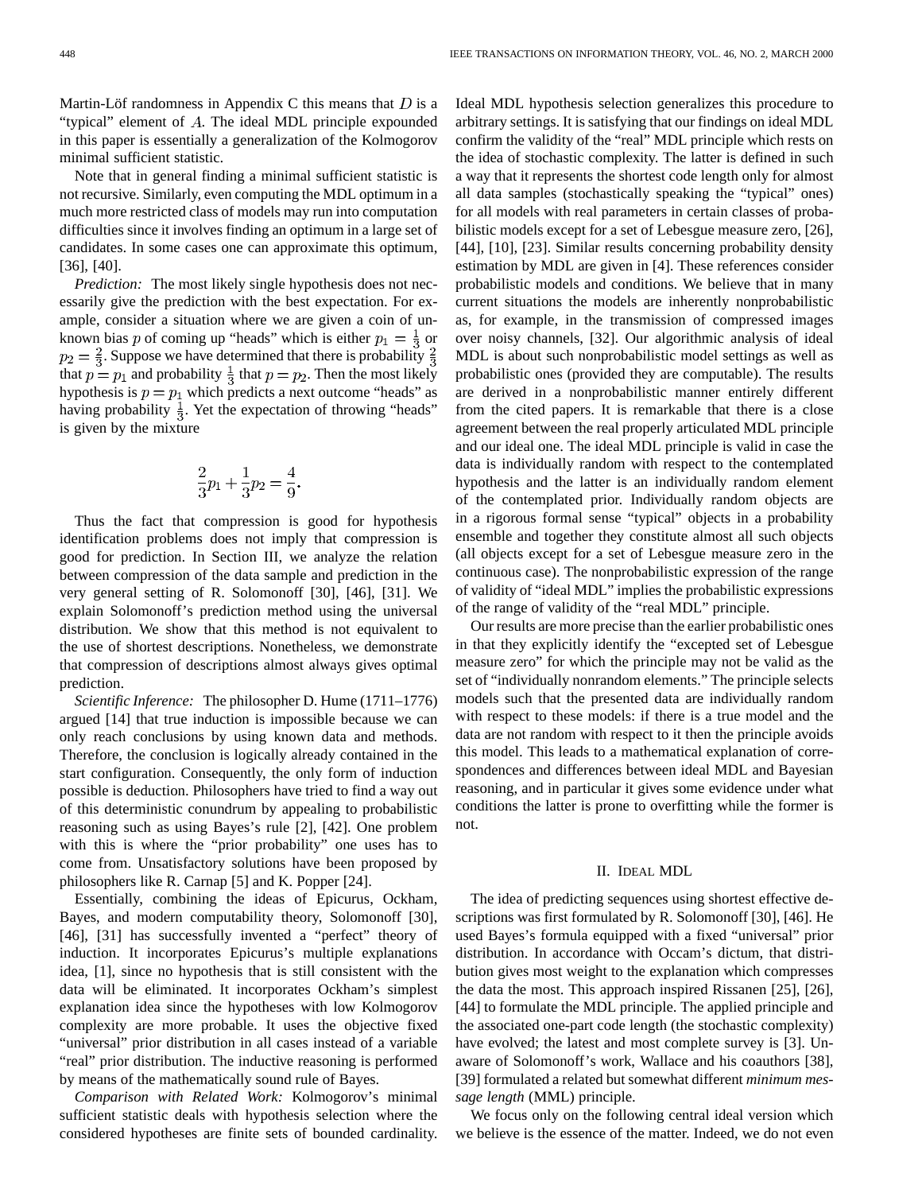Martin-Löf randomness in Appendix C this means that  $D$  is a "typical" element of  $A$ . The ideal MDL principle expounded in this paper is essentially a generalization of the Kolmogorov minimal sufficient statistic.

Note that in general finding a minimal sufficient statistic is not recursive. Similarly, even computing the MDL optimum in a much more restricted class of models may run into computation difficulties since it involves finding an optimum in a large set of candidates. In some cases one can approximate this optimum, [36], [40].

*Prediction:* The most likely single hypothesis does not necessarily give the prediction with the best expectation. For example, consider a situation where we are given a coin of unknown bias p of coming up "heads" which is either  $p_1 = \frac{1}{3}$  or  $p_2 = \frac{2}{3}$ . Suppose we have determined that there is probability  $\frac{2}{3}$ that  $p = p_1$  and probability  $\frac{1}{3}$  that  $p = p_2$ . Then the most likely hypothesis is  $p = p_1$  which predicts a next outcome "heads" as having probability  $\frac{1}{3}$ . Yet the expectation of throwing "heads" is given by the mixture

$$
\frac{2}{3}p_1 + \frac{1}{3}p_2 = \frac{4}{9}
$$

Thus the fact that compression is good for hypothesis identification problems does not imply that compression is good for prediction. In Section III, we analyze the relation between compression of the data sample and prediction in the very general setting of R. Solomonoff [30], [46], [31]. We explain Solomonoff's prediction method using the universal distribution. We show that this method is not equivalent to the use of shortest descriptions. Nonetheless, we demonstrate that compression of descriptions almost always gives optimal prediction.

*Scientific Inference:* The philosopher D. Hume (1711–1776) argued [14] that true induction is impossible because we can only reach conclusions by using known data and methods. Therefore, the conclusion is logically already contained in the start configuration. Consequently, the only form of induction possible is deduction. Philosophers have tried to find a way out of this deterministic conundrum by appealing to probabilistic reasoning such as using Bayes's rule [2], [42]. One problem with this is where the "prior probability" one uses has to come from. Unsatisfactory solutions have been proposed by philosophers like R. Carnap [5] and K. Popper [24].

Essentially, combining the ideas of Epicurus, Ockham, Bayes, and modern computability theory, Solomonoff [30], [46], [31] has successfully invented a "perfect" theory of induction. It incorporates Epicurus's multiple explanations idea, [1], since no hypothesis that is still consistent with the data will be eliminated. It incorporates Ockham's simplest explanation idea since the hypotheses with low Kolmogorov complexity are more probable. It uses the objective fixed "universal" prior distribution in all cases instead of a variable "real" prior distribution. The inductive reasoning is performed by means of the mathematically sound rule of Bayes.

*Comparison with Related Work:* Kolmogorov's minimal sufficient statistic deals with hypothesis selection where the considered hypotheses are finite sets of bounded cardinality. Ideal MDL hypothesis selection generalizes this procedure to arbitrary settings. It is satisfying that our findings on ideal MDL confirm the validity of the "real" MDL principle which rests on the idea of stochastic complexity. The latter is defined in such a way that it represents the shortest code length only for almost all data samples (stochastically speaking the "typical" ones) for all models with real parameters in certain classes of probabilistic models except for a set of Lebesgue measure zero, [26], [44], [10], [23]. Similar results concerning probability density estimation by MDL are given in [4]. These references consider probabilistic models and conditions. We believe that in many current situations the models are inherently nonprobabilistic as, for example, in the transmission of compressed images over noisy channels, [32]. Our algorithmic analysis of ideal MDL is about such nonprobabilistic model settings as well as probabilistic ones (provided they are computable). The results are derived in a nonprobabilistic manner entirely different from the cited papers. It is remarkable that there is a close agreement between the real properly articulated MDL principle and our ideal one. The ideal MDL principle is valid in case the data is individually random with respect to the contemplated hypothesis and the latter is an individually random element of the contemplated prior. Individually random objects are in a rigorous formal sense "typical" objects in a probability ensemble and together they constitute almost all such objects (all objects except for a set of Lebesgue measure zero in the continuous case). The nonprobabilistic expression of the range of validity of "ideal MDL" implies the probabilistic expressions of the range of validity of the "real MDL" principle.

Our results are more precise than the earlier probabilistic ones in that they explicitly identify the "excepted set of Lebesgue measure zero" for which the principle may not be valid as the set of "individually nonrandom elements." The principle selects models such that the presented data are individually random with respect to these models: if there is a true model and the data are not random with respect to it then the principle avoids this model. This leads to a mathematical explanation of correspondences and differences between ideal MDL and Bayesian reasoning, and in particular it gives some evidence under what conditions the latter is prone to overfitting while the former is not.

## II. IDEAL MDL

The idea of predicting sequences using shortest effective descriptions was first formulated by R. Solomonoff [30], [46]. He used Bayes's formula equipped with a fixed "universal" prior distribution. In accordance with Occam's dictum, that distribution gives most weight to the explanation which compresses the data the most. This approach inspired Rissanen [25], [26], [44] to formulate the MDL principle. The applied principle and the associated one-part code length (the stochastic complexity) have evolved; the latest and most complete survey is [3]. Unaware of Solomonoff's work, Wallace and his coauthors [38], [39] formulated a related but somewhat different *minimum message length* (MML) principle.

We focus only on the following central ideal version which we believe is the essence of the matter. Indeed, we do not even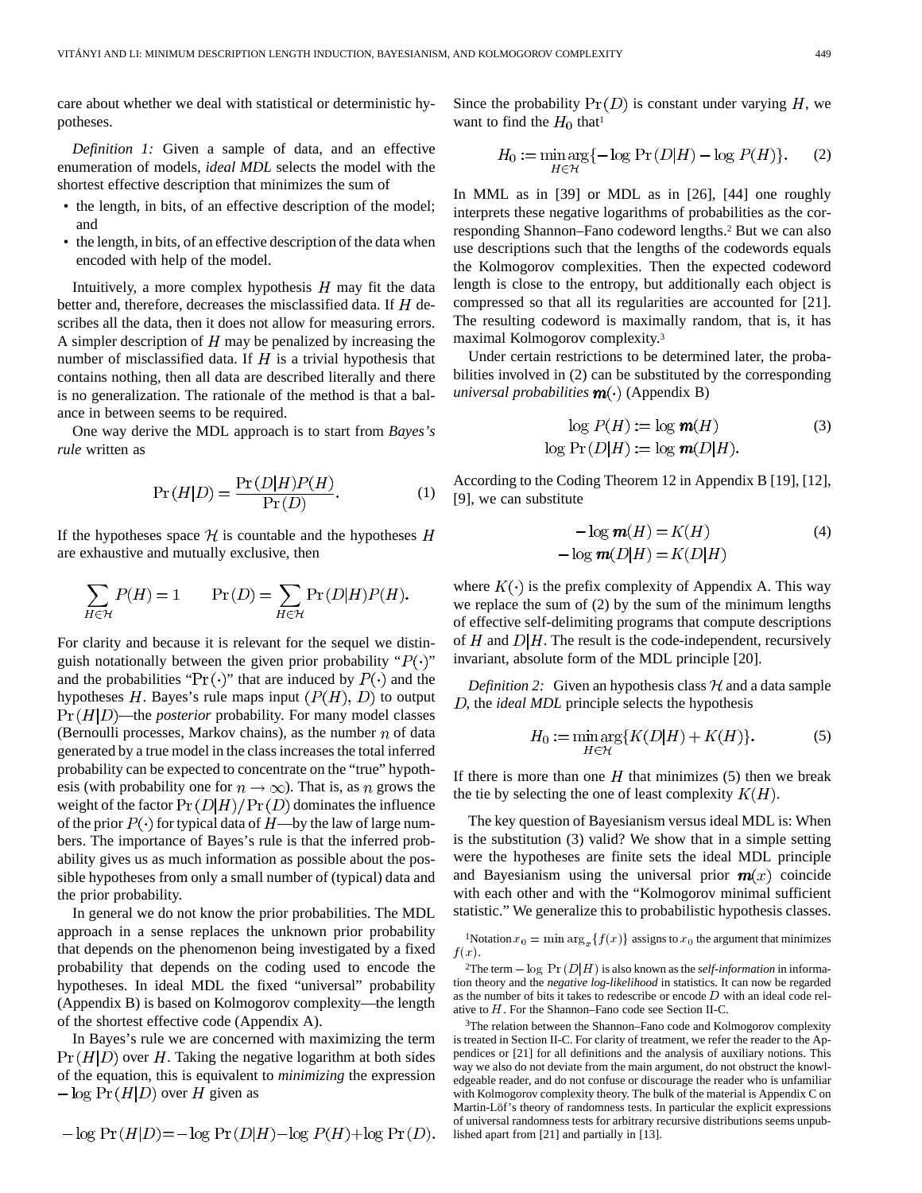care about whether we deal with statistical or deterministic hypotheses.

*Definition 1:* Given a sample of data, and an effective enumeration of models, *ideal MDL* selects the model with the shortest effective description that minimizes the sum of

- the length, in bits, of an effective description of the model; and
- the length, in bits, of an effective description of the data when encoded with help of the model.

Intuitively, a more complex hypothesis  $H$  may fit the data better and, therefore, decreases the misclassified data. If  $H$  describes all the data, then it does not allow for measuring errors. A simpler description of  $H$  may be penalized by increasing the number of misclassified data. If  $H$  is a trivial hypothesis that contains nothing, then all data are described literally and there is no generalization. The rationale of the method is that a balance in between seems to be required.

One way derive the MDL approach is to start from *Bayes's rule* written as

$$
Pr(H|D) = \frac{Pr(D|H)P(H)}{Pr(D)}.
$$
 (1)

If the hypotheses space  $\mathcal H$  is countable and the hypotheses  $H$ are exhaustive and mutually exclusive, then

$$
\sum_{H \in \mathcal{H}} P(H) = 1 \qquad \Pr(D) = \sum_{H \in \mathcal{H}} \Pr(D|H) P(H).
$$

For clarity and because it is relevant for the sequel we distinguish notationally between the given prior probability " $P(\cdot)$ " and the probabilities " $\Pr(\cdot)$ " that are induced by  $P(\cdot)$  and the hypotheses H. Bayes's rule maps input  $(P(H), D)$  to output  $Pr(H|D)$ —the *posterior* probability. For many model classes (Bernoulli processes, Markov chains), as the number  $n$  of data generated by a true model in the class increases the total inferred probability can be expected to concentrate on the "true" hypothesis (with probability one for  $n \to \infty$ ). That is, as n grows the weight of the factor  $Pr(D|H)/Pr(D)$  dominates the influence of the prior  $P(\cdot)$  for typical data of H—by the law of large numbers. The importance of Bayes's rule is that the inferred probability gives us as much information as possible about the possible hypotheses from only a small number of (typical) data and the prior probability.

In general we do not know the prior probabilities. The MDL approach in a sense replaces the unknown prior probability that depends on the phenomenon being investigated by a fixed probability that depends on the coding used to encode the hypotheses. In ideal MDL the fixed "universal" probability (Appendix B) is based on Kolmogorov complexity—the length of the shortest effective code (Appendix A).

In Bayes's rule we are concerned with maximizing the term  $Pr(H|D)$  over H. Taking the negative logarithm at both sides of the equation, this is equivalent to *minimizing* the expression  $-\log \Pr(H|D)$  over H given as

$$
-\log \Pr(H|D) = -\log \Pr(D|H) - \log P(H) + \log \Pr(D).
$$

Since the probability  $Pr(D)$  is constant under varying H, we want to find the  $H_0$  that<sup>1</sup>

$$
H_0 := \min_{H \in \mathcal{H}} \arg\{-\log \Pr(D|H) - \log P(H)\}.
$$
 (2)

In MML as in [39] or MDL as in [26], [44] one roughly interprets these negative logarithms of probabilities as the corresponding Shannon–Fano codeword lengths.2 But we can also use descriptions such that the lengths of the codewords equals the Kolmogorov complexities. Then the expected codeword length is close to the entropy, but additionally each object is compressed so that all its regularities are accounted for [21]. The resulting codeword is maximally random, that is, it has maximal Kolmogorov complexity.3

Under certain restrictions to be determined later, the probabilities involved in (2) can be substituted by the corresponding *universal probabilities*  $\mathbf{m}(\cdot)$  (Appendix B)

$$
\log P(H) := \log m(H) \tag{3}
$$
  

$$
\log \Pr(D|H) := \log m(D|H).
$$

According to the Coding Theorem 12 in Appendix B [19], [12], [9], we can substitute

$$
-\log m(H) = K(H)
$$
  
- log  $m(D|H) = K(D|H)$  (4)

where  $K(\cdot)$  is the prefix complexity of Appendix A. This way we replace the sum of (2) by the sum of the minimum lengths of effective self-delimiting programs that compute descriptions of H and  $D|H$ . The result is the code-independent, recursively invariant, absolute form of the MDL principle [20].

*Definition 2:* Given an hypothesis class  $H$  and a data sample , the *ideal MDL* principle selects the hypothesis

$$
H_0 := \min_{H \in \mathcal{H}} \text{arg}\{K(D|H) + K(H)\}.
$$
 (5)

If there is more than one  $H$  that minimizes (5) then we break the tie by selecting the one of least complexity  $K(H)$ .

The key question of Bayesianism versus ideal MDL is: When is the substitution (3) valid? We show that in a simple setting were the hypotheses are finite sets the ideal MDL principle and Bayesianism using the universal prior  $\mathbf{m}(x)$  coincide with each other and with the "Kolmogorov minimal sufficient statistic." We generalize this to probabilistic hypothesis classes.

<sup>1</sup>Notation  $x_0 = \min \arg_x \{f(x)\}\$ assigns to  $x_0$  the argument that minimizes  $f(x)$ .

<sup>&</sup>lt;sup>2</sup>The term  $-\log \Pr (D|H)$  is also known as the *self-information* in information theory and the *negative log-likelihood* in statistics. It can now be regarded as the number of bits it takes to redescribe or encode D with an ideal code relative to H. For the Shannon–Fano code see Section II-C.

<sup>&</sup>lt;sup>3</sup>The relation between the Shannon–Fano code and Kolmogorov complexity is treated in Section II-C. For clarity of treatment, we refer the reader to the Appendices or [21] for all definitions and the analysis of auxiliary notions. This way we also do not deviate from the main argument, do not obstruct the knowledgeable reader, and do not confuse or discourage the reader who is unfamiliar with Kolmogorov complexity theory. The bulk of the material is Appendix C on Martin-Löf's theory of randomness tests. In particular the explicit expressions of universal randomness tests for arbitrary recursive distributions seems unpublished apart from [21] and partially in [13].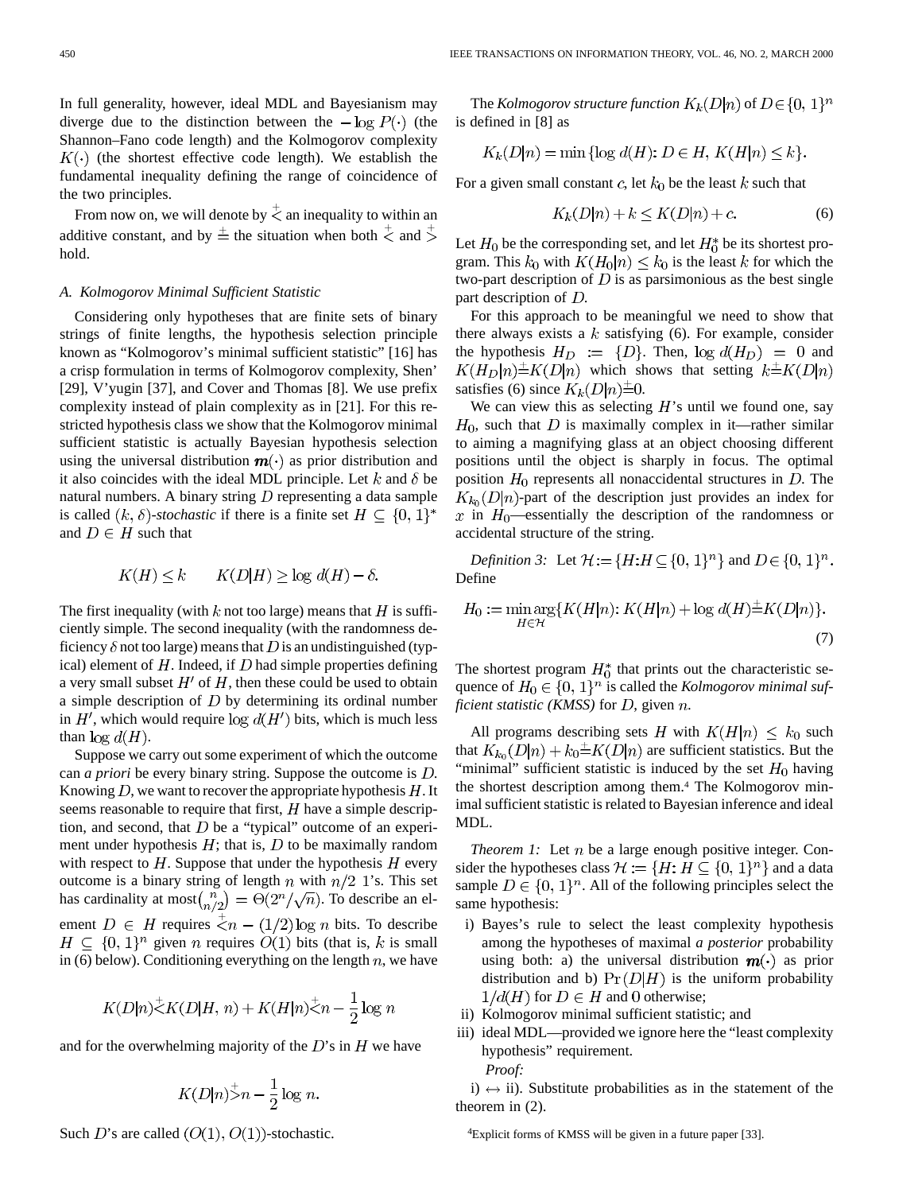In full generality, however, ideal MDL and Bayesianism may diverge due to the distinction between the  $-\log P(\cdot)$  (the Shannon–Fano code length) and the Kolmogorov complexity  $K(\cdot)$  (the shortest effective code length). We establish the fundamental inequality defining the range of coincidence of the two principles.

From now on, we will denote by  $\stackrel{+}{\le}$  an inequality to within an additive constant, and by  $\pm$  the situation when both  $\leq$  and  $\geq$ hold.

## *A. Kolmogorov Minimal Sufficient Statistic*

Considering only hypotheses that are finite sets of binary strings of finite lengths, the hypothesis selection principle known as "Kolmogorov's minimal sufficient statistic" [16] has a crisp formulation in terms of Kolmogorov complexity, Shen' [29], V'yugin [37], and Cover and Thomas [8]. We use prefix complexity instead of plain complexity as in [21]. For this restricted hypothesis class we show that the Kolmogorov minimal sufficient statistic is actually Bayesian hypothesis selection using the universal distribution  $m(\cdot)$  as prior distribution and it also coincides with the ideal MDL principle. Let  $k$  and  $\delta$  be natural numbers. A binary string  $D$  representing a data sample is called  $(k, \delta)$ -*stochastic* if there is a finite set  $H \subseteq \{0, 1\}^*$ and  $D \in H$  such that

$$
K(H) \le k \qquad K(D|H) \ge \log d(H) - \delta.
$$

The first inequality (with k not too large) means that H is sufficiently simple. The second inequality (with the randomness deficiency  $\delta$  not too large) means that D is an undistinguished (typical) element of  $H$ . Indeed, if  $D$  had simple properties defining a very small subset  $H'$  of  $H$ , then these could be used to obtain a simple description of  $D$  by determining its ordinal number in  $H'$ , which would require  $\log d(H')$  bits, which is much less than  $\log d(H)$ .

Suppose we carry out some experiment of which the outcome can *a priori* be every binary string. Suppose the outcome is  $D$ . Knowing  $D$ , we want to recover the appropriate hypothesis  $H$ . It seems reasonable to require that first,  $H$  have a simple description, and second, that  $D$  be a "typical" outcome of an experiment under hypothesis  $H$ ; that is,  $D$  to be maximally random with respect to  $H$ . Suppose that under the hypothesis  $H$  every outcome is a binary string of length  $n$  with  $n/2$  1's. This set has cardinality at  $\text{most}(\substack{n\\n/2}) = \Theta(2^n/\sqrt{n})$ . To describe an element  $D \in H$  requires  $\zeta_n - (1/2) \log n$  bits. To describe  $H \subseteq \{0, 1\}^n$  given *n* requires  $O(1)$  bits (that is, k is small in (6) below). Conditioning everything on the length  $n$ , we have

$$
K(D|n) \stackrel{+}{\leq} K(D|H, n) + K(H|n) \stackrel{+}{\leq} n - \frac{1}{2} \log n
$$

and for the overwhelming majority of the  $D$ 's in  $H$  we have

$$
K(D|n)^+ > n - \frac{1}{2} \log n.
$$

Such  $D$ 's are called  $(O(1), O(1))$ -stochastic.

The *Kolmogorov structure function*  $K_k(D|n)$  of  $D \in \{0, 1\}^n$ is defined in [8] as

$$
K_k(D|n) = \min\{\log d(H): D \in H, K(H|n) \le k\}.
$$

For a given small constant c, let  $k_0$  be the least k such that

$$
K_k(D|n) + k \le K(D|n) + c. \tag{6}
$$

Let  $H_0$  be the corresponding set, and let  $H_0^*$  be its shortest program. This  $k_0$  with  $K(H_0|n) \leq k_0$  is the least k for which the two-part description of  $D$  is as parsimonious as the best single part description of  $D$ .

For this approach to be meaningful we need to show that there always exists a  $k$  satisfying (6). For example, consider the hypothesis  $H_D := \{D\}$ . Then,  $\log d(H_D) = 0$  and  $K(H_D|n) \triangleq K(D|n)$  which shows that setting  $k \triangleq K(D|n)$ satisfies (6) since  $K_k(D|n) \equiv 0$ .

We can view this as selecting  $H$ 's until we found one, say  $H_0$ , such that D is maximally complex in it—rather similar to aiming a magnifying glass at an object choosing different positions until the object is sharply in focus. The optimal position  $H_0$  represents all nonaccidental structures in  $D$ . The  $K_{k_0}(D|n)$ -part of the description just provides an index for x in  $H_0$ —essentially the description of the randomness or accidental structure of the string.

*Definition 3:* Let  $\mathcal{H} := \{H : H \subseteq \{0, 1\}^n\}$  and  $D \in \{0, 1\}^n$ . Define

$$
H_0 := \min_{H \in \mathcal{H}} \arg\{K(H|n): K(H|n) + \log d(H) \triangleq K(D|n)\}.
$$
\n<sup>(7)</sup>

The shortest program  $H_0^*$  that prints out the characteristic sequence of  $H_0 \in \{0, 1\}^n$  is called the *Kolmogorov minimal sufficient statistic (KMSS)* for  $D$ , given  $n$ .

All programs describing sets H with  $K(H|n) \leq k_0$  such that  $K_{k_0}(D|n) + k_0 \pm K(D|n)$  are sufficient statistics. But the "minimal" sufficient statistic is induced by the set  $H_0$  having the shortest description among them.4 The Kolmogorov minimal sufficient statistic is related to Bayesian inference and ideal MDL.

*Theorem 1:* Let  $n$  be a large enough positive integer. Consider the hypotheses class  $\mathcal{H} := \{H : H \subseteq \{0, 1\}^n\}$  and a data sample  $D \in \{0, 1\}^n$ . All of the following principles select the same hypothesis:

- i) Bayes's rule to select the least complexity hypothesis among the hypotheses of maximal *a posterior* probability using both: a) the universal distribution  $m(\cdot)$  as prior distribution and b)  $Pr(D|H)$  is the uniform probability  $1/d(H)$  for  $D \in H$  and 0 otherwise;
- ii) Kolmogorov minimal sufficient statistic; and
- iii) ideal MDL—provided we ignore here the "least complexity hypothesis" requirement.

*Proof:*

i)  $\leftrightarrow$  ii). Substitute probabilities as in the statement of the theorem in (2).

4Explicit forms of KMSS will be given in a future paper [33].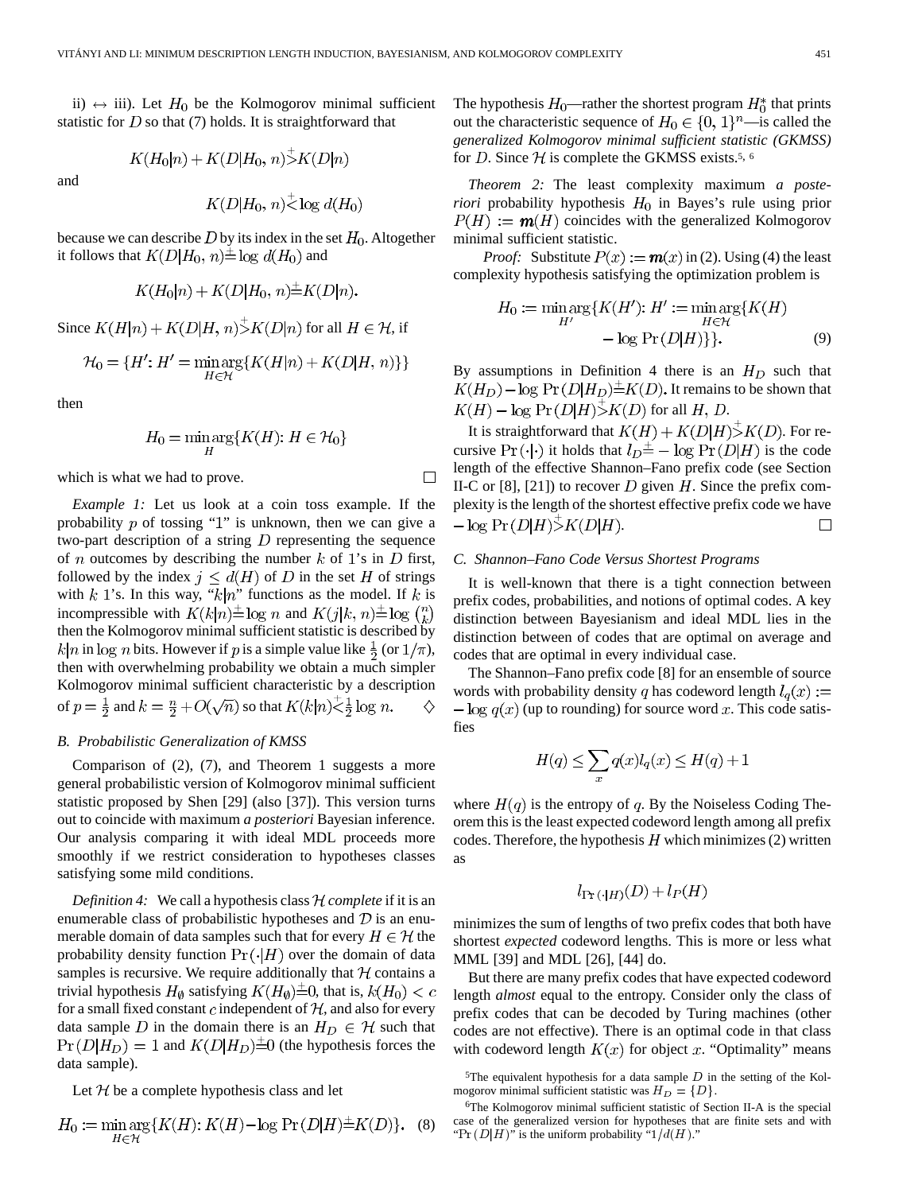$\Box$ 

ii)  $\leftrightarrow$  iii). Let  $H_0$  be the Kolmogorov minimal sufficient statistic for  $D$  so that (7) holds. It is straightforward that

$$
K(H_0|n) + K(D|H_0, n) \overset{+}{>} K(D|n)
$$

and

$$
K(D|H_0, n) \le \log d(H_0)
$$

because we can describe  $D$  by its index in the set  $H_0$ . Altogether it follows that  $K(D|H_0, n) \triangleq \log d(H_0)$  and

$$
K(H_0|n) + K(D|H_0, n) \pm K(D|n).
$$

Since  $K(H|n) + K(D|H, n) \overset{+}{>} K(D|n)$  for all  $H \in \mathcal{H}$ , if

$$
\mathcal{H}_0 = \{H' : H' = \min_{H \in \mathcal{H}} \arg\{K(H|n) + K(D|H, n)\}\}
$$

then

$$
H_0 = \min_{H} \arg\{K(H): H \in \mathcal{H}_0\}
$$

which is what we had to prove.

*Example 1:* Let us look at a coin toss example. If the probability  $p$  of tossing "1" is unknown, then we can give a two-part description of a string  $D$  representing the sequence of *n* outcomes by describing the number  $k$  of 1's in  $D$  first, followed by the index  $j \leq d(H)$  of D in the set H of strings with  $k$  1's. In this way, " $k|n$ " functions as the model. If  $k$  is incompressible with  $K(k|n) \stackrel{+}{=} \log n$  and  $K(j|k, n) \stackrel{+}{=} \log {n \choose k}$ then the Kolmogorov minimal sufficient statistic is described by  $k|n$  in log *n* bits. However if *p* is a simple value like  $\frac{1}{2}$  (or  $1/\pi$ ), then with overwhelming probability we obtain a much simpler Kolmogorov minimal sufficient characteristic by a description of  $p = \frac{1}{2}$  and  $k = \frac{n}{2} + O(\sqrt{n})$  so that  $K(k|n) \leq \frac{1}{2} \log n$ . ♦

#### *B. Probabilistic Generalization of KMSS*

Comparison of (2), (7), and Theorem 1 suggests a more general probabilistic version of Kolmogorov minimal sufficient statistic proposed by Shen [29] (also [37]). This version turns out to coincide with maximum *a posteriori* Bayesian inference. Our analysis comparing it with ideal MDL proceeds more smoothly if we restrict consideration to hypotheses classes satisfying some mild conditions.

*Definition 4:* We call a hypothesis class  $H$  *complete* if it is an enumerable class of probabilistic hypotheses and  $D$  is an enumerable domain of data samples such that for every  $H \in \mathcal{H}$  the probability density function  $Pr(\cdot|H)$  over the domain of data samples is recursive. We require additionally that  $H$  contains a trivial hypothesis  $H_{\emptyset}$  satisfying  $K(H_{\emptyset})\neq 0$ , that is,  $k(H_0) < c$ for a small fixed constant c independent of  $H$ , and also for every data sample D in the domain there is an  $H_D \in \mathcal{H}$  such that  $Pr(D|H_D) = 1$  and  $K(D|H_D) \pm 0$  (the hypothesis forces the data sample).

Let  $H$  be a complete hypothesis class and let

$$
H_0 := \min_{H \in \mathcal{H}} \arg\{K(H): K(H) - \log \Pr(D|H) \triangleq K(D)\}.
$$
 (8)

The hypothesis  $H_0$ —rather the shortest program  $H_0^*$  that prints out the characteristic sequence of  $H_0 \in \{0, 1\}^n$ —is called the *generalized Kolmogorov minimal sufficient statistic (GKMSS)* for D. Since  $H$  is complete the GKMSS exists.<sup>5, 6</sup>

*Theorem 2:* The least complexity maximum *a posteriori* probability hypothesis  $H_0$  in Bayes's rule using prior  $P(H) := m(H)$  coincides with the generalized Kolmogorov minimal sufficient statistic.

*Proof:* Substitute  $P(x) := \mathbf{m}(x)$  in (2). Using (4) the least complexity hypothesis satisfying the optimization problem is

$$
H_0 := \min_{H'} \arg\{K(H') : H' := \min_{H \in \mathcal{H}} \arg\{K(H) - \log \Pr(D|H)\}\}.
$$
\n(9)

By assumptions in Definition 4 there is an  $H_D$  such that  $K(H_D)$  –  $\log \Pr(D|H_D) \neq K(D)$ . It remains to be shown that  $K(H)$  – log  $Pr(D|H) > K(D)$  for all H, D.

It is straightforward that  $K(H) + K(D|H) > K(D)$ . For recursive  $Pr(\cdot|\cdot)$  it holds that  $l_D = -\log Pr(D|H)$  is the code length of the effective Shannon–Fano prefix code (see Section II-C or [8], [21]) to recover D given  $H$ . Since the prefix complexity is the length of the shortest effective prefix code we have  $-\log \Pr(D|H) > K(D|H).$  $\Box$ 

#### *C. Shannon–Fano Code Versus Shortest Programs*

It is well-known that there is a tight connection between prefix codes, probabilities, and notions of optimal codes. A key distinction between Bayesianism and ideal MDL lies in the distinction between of codes that are optimal on average and codes that are optimal in every individual case.

The Shannon–Fano prefix code [8] for an ensemble of source words with probability density q has codeword length  $l_q(x) :=$  $-\log q(x)$  (up to rounding) for source word x. This code satisfies

$$
H(q)\leq \sum_x q(x)l_q(x)\leq H(q)+1
$$

where  $H(q)$  is the entropy of q. By the Noiseless Coding Theorem this is the least expected codeword length among all prefix codes. Therefore, the hypothesis  $H$  which minimizes (2) written as

$$
l_{\Pr(\cdot|H)}(D) + l_P(H)
$$

minimizes the sum of lengths of two prefix codes that both have shortest *expected* codeword lengths. This is more or less what MML [39] and MDL [26], [44] do.

But there are many prefix codes that have expected codeword length *almost* equal to the entropy. Consider only the class of prefix codes that can be decoded by Turing machines (other codes are not effective). There is an optimal code in that class with codeword length  $K(x)$  for object x. "Optimality" means

<sup>&</sup>lt;sup>5</sup>The equivalent hypothesis for a data sample  $D$  in the setting of the Kolmogorov minimal sufficient statistic was  $H_D = \{D\}$ .

<sup>6</sup>The Kolmogorov minimal sufficient statistic of Section II-A is the special case of the generalized version for hypotheses that are finite sets and with "Pr  $(D|H)$ " is the uniform probability " $1/d(H)$ ."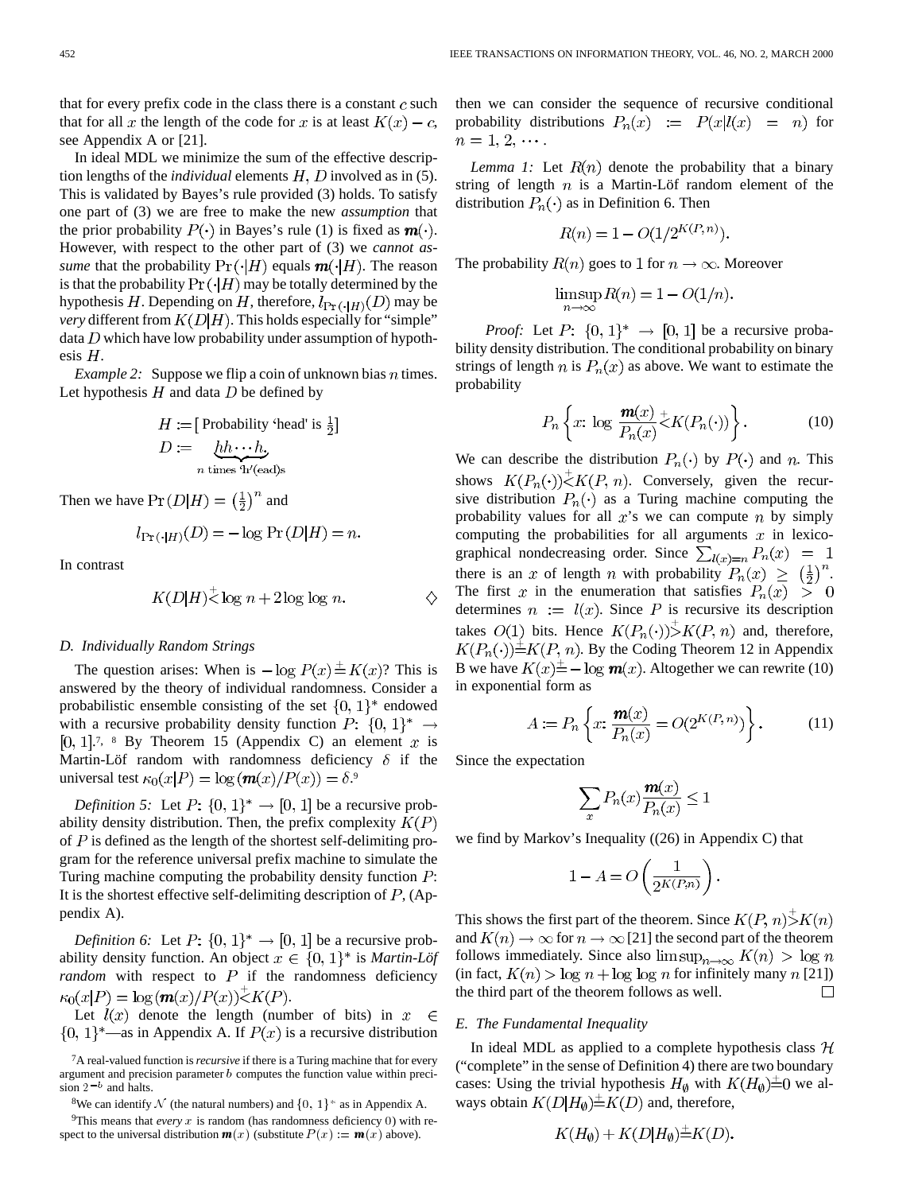that for every prefix code in the class there is a constant  $c$  such that for all x the length of the code for x is at least  $K(x) - c$ , see Appendix A or [21].

In ideal MDL we minimize the sum of the effective description lengths of the *individual* elements  $H$ ,  $D$  involved as in (5). This is validated by Bayes's rule provided (3) holds. To satisfy one part of (3) we are free to make the new *assumption* that the prior probability  $P(\cdot)$  in Bayes's rule (1) is fixed as  $m(\cdot)$ . However, with respect to the other part of (3) we *cannot assume* that the probability  $Pr(\cdot|H)$  equals  $m(\cdot|H)$ . The reason is that the probability  $Pr(\cdot|H)$  may be totally determined by the hypothesis H. Depending on H, therefore,  $l_{\text{Pr}(\cdot|H)}(D)$  may be *very* different from  $K(D|H)$ . This holds especially for "simple" data  $D$  which have low probability under assumption of hypothesis  $H$ .

*Example 2:* Suppose we flip a coin of unknown bias  $n$  times. Let hypothesis  $H$  and data  $D$  be defined by

$$
H := [\text{Probability 'head' is } \frac{1}{2}]
$$
  

$$
D := \underbrace{hh \cdots h}_{n \text{ times 'h'(ead)s}}
$$

Then we have  $Pr(D|H) = \left(\frac{1}{2}\right)^n$  and

$$
l_{\Pr(\cdot|H)}(D) = -\log \Pr(D|H) = n.
$$

In contrast

$$
K(D|H) \le \log n + 2 \log \log n.
$$

## *D. Individually Random Strings*

The question arises: When is  $-\log P(x) \stackrel{+}{=} K(x)$ ? This is answered by the theory of individual randomness. Consider a probabilistic ensemble consisting of the set  $\{0, 1\}^*$  endowed with a recursive probability density function  $P: \{0, 1\}^* \rightarrow$ [0, 1].<sup>7, 8</sup> By Theorem 15 (Appendix C) an element x is Martin-Löf random with randomness deficiency  $\delta$  if the universal test  $\kappa_0(x|P) = \log(m(x)/P(x)) = \delta$ .

*Definition 5:* Let  $P: \{0, 1\}^* \rightarrow [0, 1]$  be a recursive probability density distribution. Then, the prefix complexity  $K(P)$ of  $P$  is defined as the length of the shortest self-delimiting program for the reference universal prefix machine to simulate the Turing machine computing the probability density function  $P$ : It is the shortest effective self-delimiting description of  $P$ , (Appendix A).

*Definition 6:* Let  $P: \{0, 1\}^* \rightarrow [0, 1]$  be a recursive probability density function. An object  $x \in \{0, 1\}^*$  is *Martin-Löf random* with respect to  $P$  if the randomness deficiency  $\kappa_0(x|P) = \log(m(x)/P(x)) \stackrel{+}{\leq} K(P).$ 

Let  $l(x)$  denote the length (number of bits) in  $x \in$  $\{0, 1\}^*$ —as in Appendix A. If  $P(x)$  is a recursive distribution

7A real-valued function is *recursive* if there is a Turing machine that for every argument and precision parameter b computes the function value within precision  $2^{-b}$  and halts.

<sup>8</sup>We can identify N (the natural numbers) and  $\{0, 1\}^*$  as in Appendix A.

then we can consider the sequence of recursive conditional probability distributions  $P_n(x) := P(x|l(x) = n)$  for  $n=1,2,\cdots$ .

*Lemma 1:* Let  $R(n)$  denote the probability that a binary string of length  $n$  is a Martin-Löf random element of the distribution  $P_n(\cdot)$  as in Definition 6. Then

$$
R(n) = 1 - O(1/2^{K(P, n)}).
$$

The probability  $R(n)$  goes to 1 for  $n \to \infty$ . Moreover

$$
\limsup_{n \to \infty} R(n) = 1 - O(1/n).
$$

*Proof:* Let  $P: \{0, 1\}^* \rightarrow [0, 1]$  be a recursive probability density distribution. The conditional probability on binary strings of length n is  $P_n(x)$  as above. We want to estimate the probability

$$
P_n\left\{x: \log \frac{m(x)}{P_n(x)} \zeta K(P_n(\cdot))\right\}.
$$
 (10)

We can describe the distribution  $P_n(\cdot)$  by  $P(\cdot)$  and n. This shows  $K(P_n(\cdot))\leq K(P, n)$ . Conversely, given the recursive distribution  $P_n(\cdot)$  as a Turing machine computing the probability values for all  $x$ 's we can compute  $n$  by simply computing the probabilities for all arguments  $x$  in lexicographical nondecreasing order. Since  $\sum_{l(x)=n} P_n(x) = 1$ there is an x of length n with probability  $P_n(x) \geq (\frac{1}{2})^n$ . The first x in the enumeration that satisfies  $P_n(x) > 0$ determines  $n := l(x)$ . Since P is recursive its description takes  $O(1)$  bits. Hence  $K(P_n(\cdot)) > K(P, n)$  and, therefore,  $K(P_n(\cdot))\pm K(P, n)$ . By the Coding Theorem 12 in Appendix B we have  $K(x) = -\log \mathbf{m}(x)$ . Altogether we can rewrite (10) in exponential form as

$$
A := P_n \left\{ x : \frac{\mathbf{m}(x)}{P_n(x)} = O(2^{K(P,n)}) \right\}.
$$
 (11)

Since the expectation

$$
\sum_{x} P_n(x) \frac{\mathbf{m}(x)}{P_n(x)} \le 1
$$

we find by Markov's Inequality ((26) in Appendix C) that

$$
1 - A = O\left(\frac{1}{2^{K(P,n)}}\right)
$$

This shows the first part of the theorem. Since  $K(P, n) > K(n)$ and  $K(n) \to \infty$  for  $n \to \infty$  [21] the second part of the theorem follows immediately. Since also  $\limsup_{n\to\infty} K(n) > \log n$ (in fact,  $K(n) > \log n + \log \log n$  for infinitely many n [21]) the third part of the theorem follows as well.  $\Box$ 

## *E. The Fundamental Inequality*

In ideal MDL as applied to a complete hypothesis class  $H$ ("complete" in the sense of Definition 4) there are two boundary cases: Using the trivial hypothesis  $H_{\emptyset}$  with  $K(H_{\emptyset})\neq 0$  we always obtain  $K(D|H_{\emptyset}) \stackrel{+}{=} K(D)$  and, therefore,

$$
K(H_{\emptyset}) + K(D|H_{\emptyset}) \stackrel{+}{=} K(D)
$$

 $9$ This means that *every* x is random (has randomness deficiency 0) with respect to the universal distribution  $\mathbf{m}(x)$  (substitute  $P(x) := \mathbf{m}(x)$  above).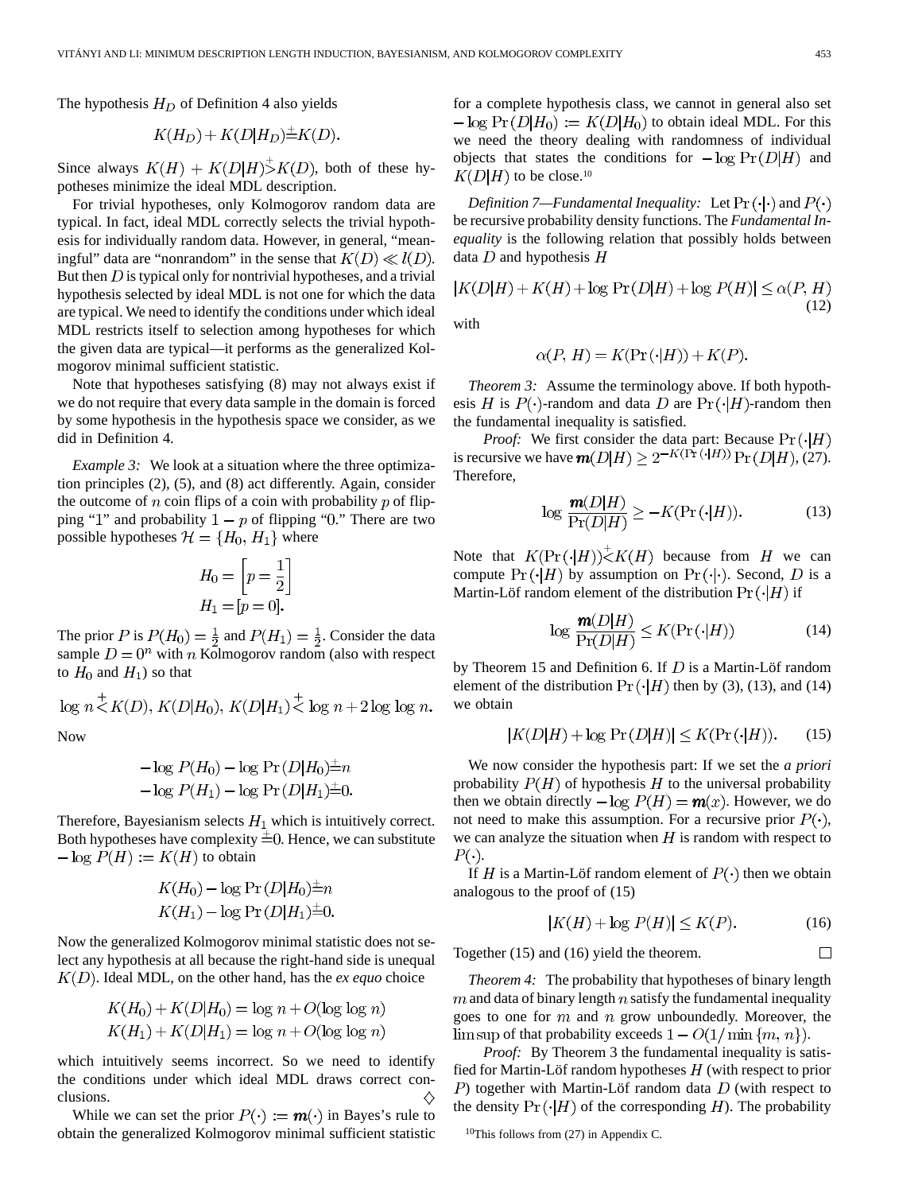The hypothesis  $H_D$  of Definition 4 also yields

$$
K(H_D) + K(D|H_D) \pm K(D).
$$

Since always  $K(H) + K(D|H) > K(D)$ , both of these hypotheses minimize the ideal MDL description.

For trivial hypotheses, only Kolmogorov random data are typical. In fact, ideal MDL correctly selects the trivial hypothesis for individually random data. However, in general, "meaningful" data are "nonrandom" in the sense that  $K(D) \ll l(D)$ . But then  $D$  is typical only for nontrivial hypotheses, and a trivial hypothesis selected by ideal MDL is not one for which the data are typical. We need to identify the conditions under which ideal MDL restricts itself to selection among hypotheses for which the given data are typical—it performs as the generalized Kolmogorov minimal sufficient statistic.

Note that hypotheses satisfying (8) may not always exist if we do not require that every data sample in the domain is forced by some hypothesis in the hypothesis space we consider, as we did in Definition 4.

*Example 3:* We look at a situation where the three optimization principles (2), (5), and (8) act differently. Again, consider the outcome of n coin flips of a coin with probability  $p$  of flipping "1" and probability  $1 - p$  of flipping "0." There are two possible hypotheses  $\mathcal{H} = \{H_0, H_1\}$  where

$$
H_0 = \left[ p = \frac{1}{2} \right]
$$
  

$$
H_1 = [p = 0].
$$

The prior P is  $P(H_0) = \frac{1}{2}$  and  $P(H_1) = \frac{1}{2}$ . Consider the data sample  $D = 0^n$  with n Kolmogorov random (also with respect to  $H_0$  and  $H_1$ ) so that

$$
\log n \stackrel{+}{\leq} K(D), K(D|H_0), K(D|H_1) \stackrel{+}{\leq} \log n + 2 \log \log n.
$$
  
Now

$$
-\log P(H_0) - \log \Pr(D|H_0) \stackrel{+}{=} n
$$
  
- log  $P(H_1)$  - log  $\Pr(D|H_1) \stackrel{+}{=} 0$ 

Therefore, Bayesianism selects  $H_1$  which is intuitively correct. Both hypotheses have complexity  $\pm 0$ . Hence, we can substitute  $-\log P(H) := K(H)$  to obtain

$$
K(H_0) - \log \Pr(D|H_0) \stackrel{+}{=} n
$$
  
 
$$
K(H_1) - \log \Pr(D|H_1) \stackrel{+}{=} 0.
$$

Now the generalized Kolmogorov minimal statistic does not select any hypothesis at all because the right-hand side is unequal  $K(D)$ . Ideal MDL, on the other hand, has the *ex equo* choice

$$
K(H_0) + K(D|H_0) = \log n + O(\log \log n)
$$
  

$$
K(H_1) + K(D|H_1) = \log n + O(\log \log n)
$$

which intuitively seems incorrect. So we need to identify the conditions under which ideal MDL draws correct conclusions.

While we can set the prior  $P(\cdot) := \mathbf{m}(\cdot)$  in Bayes's rule to obtain the generalized Kolmogorov minimal sufficient statistic for a complete hypothesis class, we cannot in general also set  $-\log \Pr(D|H_0) := K(D|H_0)$  to obtain ideal MDL. For this we need the theory dealing with randomness of individual objects that states the conditions for  $-\log \Pr(D|H)$  and  $K(D|H)$  to be close.<sup>10</sup>

*Definition 7—Fundamental Inequality:* Let  $\Pr(\cdot)$  and  $P(\cdot)$ be recursive probability density functions. The *Fundamental Inequality* is the following relation that possibly holds between data  $D$  and hypothesis  $H$ 

$$
|K(D|H) + K(H) + \log \Pr(D|H) + \log P(H)| \le \alpha(P, H)
$$
\n(12)

with

$$
\alpha(P, H) = K(\Pr(\cdot|H)) + K(P)
$$

*Theorem 3:* Assume the terminology above. If both hypothesis H is  $P(\cdot)$ -random and data D are  $\Pr(\cdot|H)$ -random then the fundamental inequality is satisfied.

*Proof:* We first consider the data part: Because  $Pr(\cdot|H)$ is recursive we have  $m(D|H) \geq 2^{-K(\Pr(\cdot|H))} \Pr(D|H)$ , (27). Therefore,

$$
\log \frac{\mathbf{m}(D|H)}{\Pr(D|H)} \ge -K(\Pr(\cdot|H)).\tag{13}
$$

Note that  $K(\Pr(\cdot|H)) \stackrel{+}{\leq} K(H)$  because from H we can compute  $Pr(\cdot|H)$  by assumption on  $Pr(\cdot|\cdot)$ . Second, D is a Martin-Löf random element of the distribution  $Pr(\cdot|H)$  if

$$
\log \frac{\mathbf{m}(D|H)}{\Pr(D|H)} \le K(\Pr(\cdot|H))\tag{14}
$$

by Theorem 15 and Definition 6. If  $D$  is a Martin-Löf random element of the distribution  $\Pr(\cdot|H)$  then by (3), (13), and (14) we obtain

$$
|K(D|H) + \log \Pr(D|H)| \le K(\Pr(\cdot|H)).\tag{15}
$$

We now consider the hypothesis part: If we set the *a priori* probability  $P(H)$  of hypothesis H to the universal probability then we obtain directly  $-\log P(H) = m(x)$ . However, we do not need to make this assumption. For a recursive prior  $P(\cdot)$ , we can analyze the situation when  $H$  is random with respect to  $P(\cdot)$ .

If H is a Martin-Löf random element of  $P(\cdot)$  then we obtain analogous to the proof of (15)

$$
|K(H) + \log P(H)| \le K(P). \tag{16}
$$

 $\Box$ 

Together (15) and (16) yield the theorem.

*Theorem 4:* The probability that hypotheses of binary length  $m$  and data of binary length  $n$  satisfy the fundamental inequality goes to one for  $m$  and  $n$  grow unboundedly. Moreover, the  $\limsup$  of that probability exceeds  $1 - O(1/\min\{m, n\}).$ 

*Proof:* By Theorem 3 the fundamental inequality is satisfied for Martin-Löf random hypotheses  $H$  (with respect to prior P) together with Martin-Löf random data D (with respect to the density  $Pr(\cdot|H)$  of the corresponding H). The probability

<sup>10</sup>This follows from (27) in Appendix C.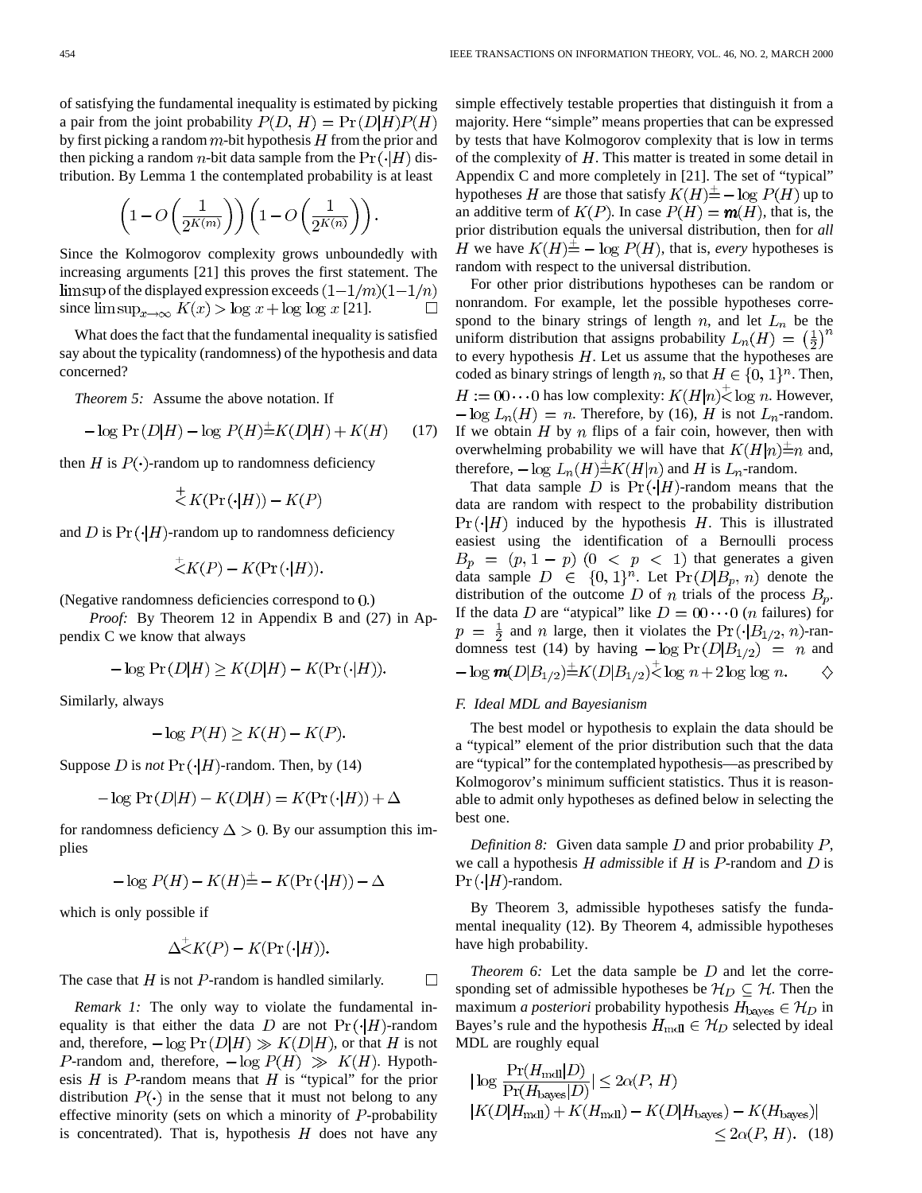of satisfying the fundamental inequality is estimated by picking a pair from the joint probability  $P(D, H) = Pr(D|H)P(H)$ by first picking a random  $m$ -bit hypothesis  $H$  from the prior and then picking a random *n*-bit data sample from the  $Pr(\cdot|H)$  distribution. By Lemma 1 the contemplated probability is at least

$$
\left(1 - O\left(\frac{1}{2^{K(m)}}\right)\right)\left(1 - O\left(\frac{1}{2^{K(n)}}\right)\right).
$$

Since the Kolmogorov complexity grows unboundedly with increasing arguments [21] this proves the first statement. The  $\limsup$  of the displayed expression exceeds  $(1-1/m)(1-1/n)$ since  $\limsup_{x\to\infty} K(x) > \log x + \log \log x$  [21].

What does the fact that the fundamental inequality is satisfied say about the typicality (randomness) of the hypothesis and data concerned?

*Theorem 5:* Assume the above notation. If

$$
-\log \Pr(D|H) - \log P(H) \stackrel{+}{=} K(D|H) + K(H) \tag{17}
$$

then H is  $P(\cdot)$ -random up to randomness deficiency

$$
\mathcal{K}(\Pr(\cdot|H)) - K(P)
$$

and D is  $Pr(\cdot|H)$ -random up to randomness deficiency

$$
\nleq K(P) - K(\Pr(\cdot|H)).
$$

(Negative randomness deficiencies correspond to 0.)

*Proof:* By Theorem 12 in Appendix B and (27) in Appendix C we know that always

$$
- \log \Pr(D|H) \ge K(D|H) - K(\Pr(\cdot|H)).
$$

Similarly, always

$$
-\log P(H) \ge K(H) - K(P)
$$

Suppose D is *not*  $Pr(\cdot|H)$ -random. Then, by (14)

$$
-\log \Pr(D|H) - K(D|H) = K(\Pr(\cdot|H)) + \Delta
$$

for randomness deficiency  $\Delta > 0$ . By our assumption this implies

$$
-\log P(H) - K(H) \stackrel{+}{=} - K(\Pr(\cdot|H)) - \Delta
$$

which is only possible if

$$
\Delta \xi K(P) - K(\Pr(\cdot|H)).
$$

The case that  $H$  is not  $P$ -random is handled similarly.

*Remark 1:* The only way to violate the fundamental inequality is that either the data D are not  $\Pr(\cdot|H)$ -random and, therefore,  $-\log \Pr(D|H) \gg K(D|H)$ , or that H is not P-random and, therefore,  $-\log P(H) \gg K(H)$ . Hypothesis  $H$  is  $P$ -random means that  $H$  is "typical" for the prior distribution  $P(\cdot)$  in the sense that it must not belong to any effective minority (sets on which a minority of  $P$ -probability is concentrated). That is, hypothesis  $H$  does not have any simple effectively testable properties that distinguish it from a majority. Here "simple" means properties that can be expressed by tests that have Kolmogorov complexity that is low in terms of the complexity of  $H$ . This matter is treated in some detail in Appendix C and more completely in [21]. The set of "typical" hypotheses H are those that satisfy  $K(H) \stackrel{+}{=} - \log P(H)$  up to an additive term of  $K(P)$ . In case  $P(H) = m(H)$ , that is, the prior distribution equals the universal distribution, then for *all* H we have  $K(H)^\pm$  –  $\log P(H)$ , that is, *every* hypotheses is random with respect to the universal distribution.

For other prior distributions hypotheses can be random or nonrandom. For example, let the possible hypotheses correspond to the binary strings of length  $n$ , and let  $L_n$  be the uniform distribution that assigns probability  $L_n(H) = \left(\frac{1}{2}\right)^n$ to every hypothesis  $H$ . Let us assume that the hypotheses are coded as binary strings of length n, so that  $H \in \{0, 1\}^n$ . Then,  $H := 00 \cdots 0$  has low complexity:  $K(H|n) \stackrel{+}{\leq} \log n$ . However,  $-\log L_n(H) = n$ . Therefore, by (16), H is not  $L_n$ -random. If we obtain  $H$  by  $n$  flips of a fair coin, however, then with overwhelming probability we will have that  $K(H|n) \doteq n$  and, therefore,  $-\log L_n(H) \pm K(H|n)$  and H is  $L_n$ -random.

That data sample D is  $Pr(\cdot|H)$ -random means that the data are random with respect to the probability distribution  $Pr(\cdot|H)$  induced by the hypothesis H. This is illustrated easiest using the identification of a Bernoulli process  $B_p = (p, 1 - p)$   $(0 \lt p \lt 1)$  that generates a given data sample  $D \in \{0,1\}^n$ . Let  $\Pr(D|B_p, n)$  denote the distribution of the outcome D of n trials of the process  $B_p$ . If the data D are "atypical" like  $D = 00 \cdots 0$  (*n* failures) for  $p = \frac{1}{2}$  and *n* large, then it violates the  $\Pr(\cdot | B_{1/2}, n)$ -randomness test (14) by having  $-\log \Pr(D|B_{1/2}) = n$  and  $-\log m(D|B_{1/2}) \pm K(D|B_{1/2}) \times \log n + 2 \log \log n.$ ♦

# *F. Ideal MDL and Bayesianism*

 $\Box$ 

The best model or hypothesis to explain the data should be a "typical" element of the prior distribution such that the data are "typical" for the contemplated hypothesis—as prescribed by Kolmogorov's minimum sufficient statistics. Thus it is reasonable to admit only hypotheses as defined below in selecting the best one.

*Definition 8:* Given data sample  $D$  and prior probability  $P$ , we call a hypothesis  $H$  *admissible* if  $H$  is  $P$ -random and  $D$  is  $Pr(\cdot|H)$ -random.

By Theorem 3, admissible hypotheses satisfy the fundamental inequality (12). By Theorem 4, admissible hypotheses have high probability.

*Theorem 6:* Let the data sample be  $D$  and let the corresponding set of admissible hypotheses be  $\mathcal{H}_D \subseteq \mathcal{H}$ . Then the maximum *a posteriori* probability hypothesis  $H_{\text{bayes}} \in \mathcal{H}_D$  in Bayes's rule and the hypothesis  $H_{\text{mdl}} \in \mathcal{H}_D$  selected by ideal MDL are roughly equal

$$
|\log \frac{\Pr(H_{\text{mdil}}|D)}{\Pr(H_{\text{bayes}}|D)}| \le 2\alpha(P, H)
$$
  

$$
|K(D|H_{\text{mdl}}) + K(H_{\text{mdl}}) - K(D|H_{\text{bayes}}) - K(H_{\text{bayes}})|
$$
  

$$
\le 2\alpha(P, H). \quad (18)
$$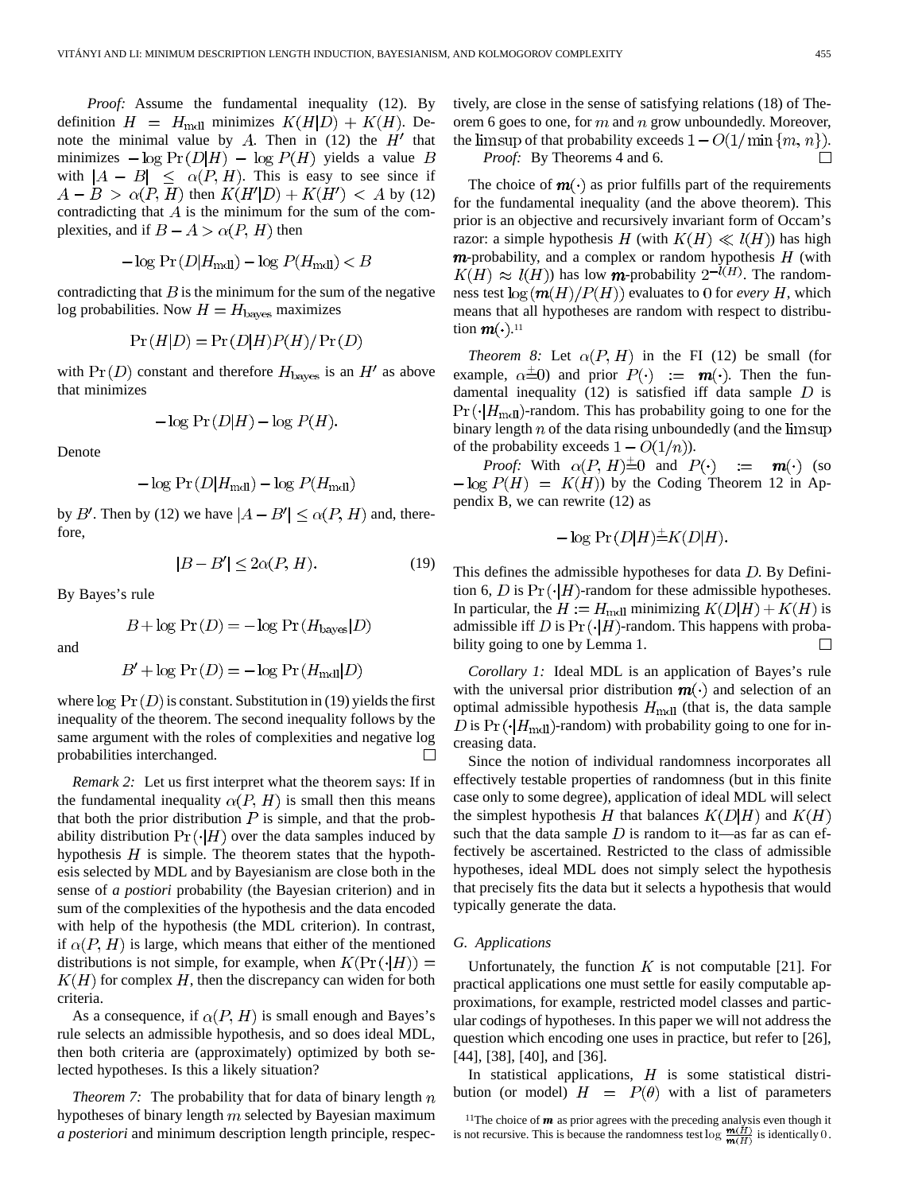*Proof:* Assume the fundamental inequality (12). By definition  $H = H_{\text{mdl}}$  minimizes  $K(H|D) + K(H)$ . Denote the minimal value by A. Then in (12) the  $H'$  that minimizes  $-\log \Pr(D|H) - \log P(H)$  yields a value B with  $|A - B| \le \alpha(P, H)$ . This is easy to see since if  $A - B > \alpha(P, H)$  then  $K(H'|D) + K(H') < A$  by (12) contradicting that  $A$  is the minimum for the sum of the complexities, and if  $B - A > \alpha(P, H)$  then

$$
-\log \Pr(D|H_{\text{mdl}}) - \log P(H_{\text{mdl}}) < B
$$

contradicting that  $B$  is the minimum for the sum of the negative log probabilities. Now  $H = H_{\text{bayes}}$  maximizes

$$
Pr(H|D) = Pr(D|H)P(H)/Pr(D)
$$

with  $Pr(D)$  constant and therefore  $H_{\text{bayes}}$  is an  $H'$  as above that minimizes

$$
-\log\Pr(D|H) - \log P(H).
$$

Denote

$$
-\log \Pr(D|H_{\text{mdl}}) - \log P(H_{\text{mdl}})
$$

by B'. Then by (12) we have  $|A - B'| \leq \alpha(P, H)$  and, therefore,

$$
|B - B'| \le 2\alpha(P, H). \tag{19}
$$

By Bayes's rule

$$
B + \log \Pr(D) = -\log \Pr(H_{\text{bayes}}|D)
$$

and

$$
B' + \log \Pr(D) = -\log \Pr(H_{\text{mdl}}|D)
$$

where  $\log \Pr(D)$  is constant. Substitution in (19) yields the first inequality of the theorem. The second inequality follows by the same argument with the roles of complexities and negative log probabilities interchanged.

*Remark 2:* Let us first interpret what the theorem says: If in the fundamental inequality  $\alpha(P, H)$  is small then this means that both the prior distribution  $P$  is simple, and that the probability distribution  $Pr(\cdot | H)$  over the data samples induced by hypothesis  $H$  is simple. The theorem states that the hypothesis selected by MDL and by Bayesianism are close both in the sense of *a postiori* probability (the Bayesian criterion) and in sum of the complexities of the hypothesis and the data encoded with help of the hypothesis (the MDL criterion). In contrast, if  $\alpha(P, H)$  is large, which means that either of the mentioned distributions is not simple, for example, when  $K(\Pr(\cdot|H)) =$  $K(H)$  for complex H, then the discrepancy can widen for both criteria.

As a consequence, if  $\alpha(P, H)$  is small enough and Bayes's rule selects an admissible hypothesis, and so does ideal MDL, then both criteria are (approximately) optimized by both selected hypotheses. Is this a likely situation?

*Theorem 7:* The probability that for data of binary length n hypotheses of binary length  $m$  selected by Bayesian maximum *a posteriori* and minimum description length principle, respectively, are close in the sense of satisfying relations (18) of Theorem 6 goes to one, for  $m$  and  $n$  grow unboundedly. Moreover, the lim sup of that probability exceeds  $1 - O(1/\min\{m, n\})$ . *Proof:* By Theorems 4 and 6.  $\Box$ 

The choice of  $m(\cdot)$  as prior fulfills part of the requirements for the fundamental inequality (and the above theorem). This prior is an objective and recursively invariant form of Occam's razor: a simple hypothesis H (with  $K(H) \ll l(H)$ ) has high  $m$ -probability, and a complex or random hypothesis  $H$  (with  $K(H) \approx l(H)$ ) has low  $\mathbf{m}$ -probability  $2^{-l(H)}$ . The randomness test  $\log(m(H)/P(H))$  evaluates to 0 for *every* H, which means that all hypotheses are random with respect to distribution  $m(\cdot)$ .<sup>11</sup>

*Theorem 8:* Let  $\alpha(P, H)$  in the FI (12) be small (for example,  $\alpha \pm 0$  and prior  $P(\cdot) := m(\cdot)$ . Then the fundamental inequality (12) is satisfied iff data sample  $D$  is  $Pr(\cdot|H_{\text{mdl}})$ -random. This has probability going to one for the binary length  $n$  of the data rising unboundedly (and the  $\limsup$ of the probability exceeds  $1 - O(1/n)$ .

*Proof:* With  $\alpha(P, H) \pm 0$  and  $P(\cdot) := m(\cdot)$  (so  $-\log P(H) = K(H)$  by the Coding Theorem 12 in Appendix B, we can rewrite (12) as

$$
-\log \Pr(D|H)^{\pm}K(D|H).
$$

This defines the admissible hypotheses for data  $D$ . By Definition 6, D is  $Pr(\cdot|H)$ -random for these admissible hypotheses. In particular, the  $H := H_{\text{mdl}}$  minimizing  $K(D|H) + K(H)$  is admissible iff D is  $Pr(\cdot|H)$ -random. This happens with probability going to one by Lemma 1.  $\Box$ 

*Corollary 1:* Ideal MDL is an application of Bayes's rule with the universal prior distribution  $m(\cdot)$  and selection of an optimal admissible hypothesis  $H_{\text{mdl}}$  (that is, the data sample D is  $Pr(\cdot|H_{\text{mdl}})$ -random) with probability going to one for increasing data.

Since the notion of individual randomness incorporates all effectively testable properties of randomness (but in this finite case only to some degree), application of ideal MDL will select the simplest hypothesis H that balances  $K(D|H)$  and  $K(H)$ such that the data sample  $D$  is random to it—as far as can effectively be ascertained. Restricted to the class of admissible hypotheses, ideal MDL does not simply select the hypothesis that precisely fits the data but it selects a hypothesis that would typically generate the data.

## *G. Applications*

Unfortunately, the function  $K$  is not computable [21]. For practical applications one must settle for easily computable approximations, for example, restricted model classes and particular codings of hypotheses. In this paper we will not address the question which encoding one uses in practice, but refer to [26], [44], [38], [40], and [36].

In statistical applications,  $H$  is some statistical distribution (or model)  $H = P(\theta)$  with a list of parameters

<sup>&</sup>lt;sup>11</sup>The choice of  $m$  as prior agrees with the preceding analysis even though it is not recursive. This is because the randomness test  $\log \frac{m(H)}{m(H)}$  is identically 0.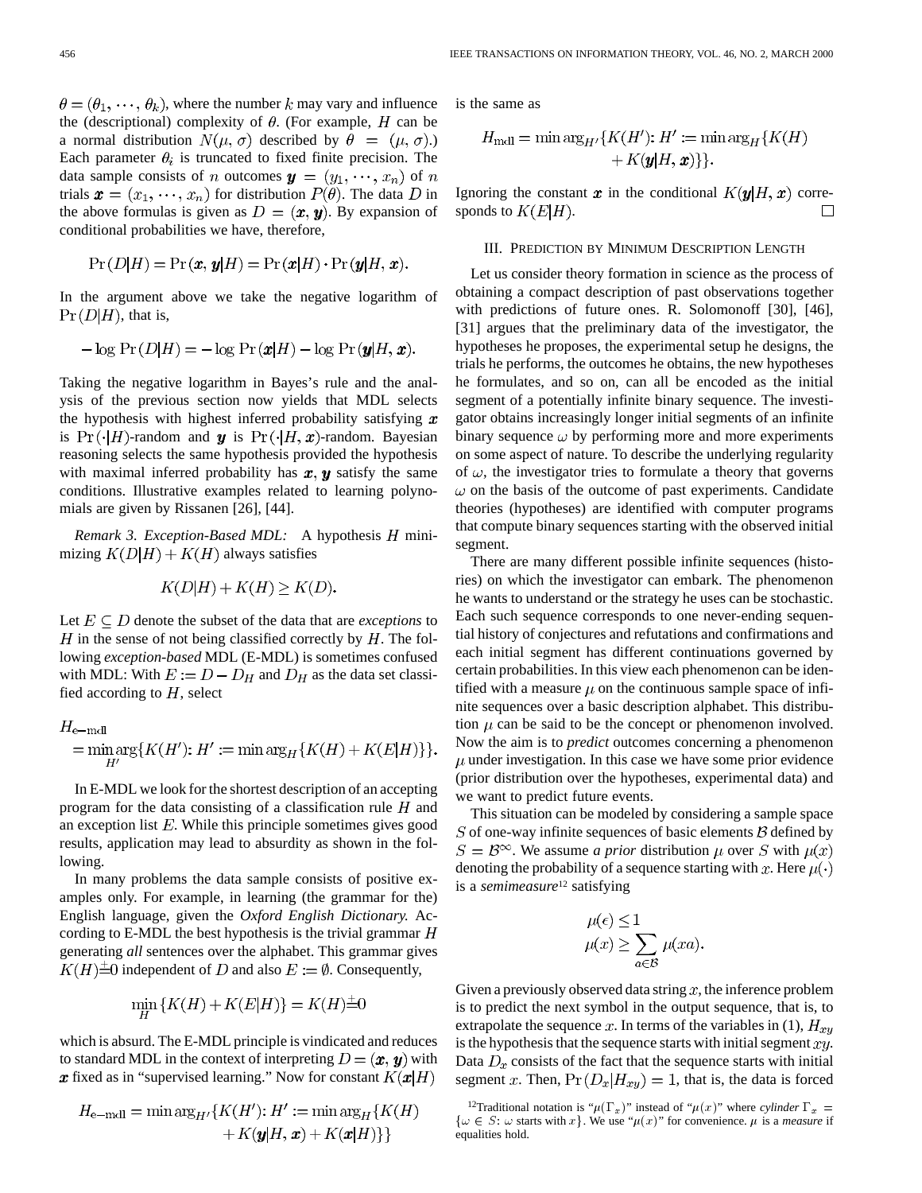$\theta = (\theta_1, \dots, \theta_k)$ , where the number k may vary and influence the (descriptional) complexity of  $\theta$ . (For example, H can be a normal distribution  $N(\mu, \sigma)$  described by  $\theta = (\mu, \sigma)$ .) Each parameter  $\theta_i$  is truncated to fixed finite precision. The data sample consists of *n* outcomes  $y = (y_1, \dots, x_n)$  of *n* trials  $\mathbf{x} = (x_1, \dots, x_n)$  for distribution  $P(\theta)$ . The data D in the above formulas is given as  $D = (\mathbf{x}, \mathbf{y})$ . By expansion of conditional probabilities we have, therefore,

$$
\Pr(D|H) = \Pr(\mathbf{x}, \mathbf{y}|H) = \Pr(\mathbf{x}|H) \cdot \Pr(\mathbf{y}|H, \mathbf{x}).
$$

In the argument above we take the negative logarithm of  $Pr(D|H)$ , that is,

$$
-\log \Pr(D|H) = -\log \Pr(\pmb{x}|H) - \log \Pr(\pmb{y}|H, \pmb{x}).
$$

Taking the negative logarithm in Bayes's rule and the analysis of the previous section now yields that MDL selects the hypothesis with highest inferred probability satisfying  $x$ is  $Pr(\cdot|H)$ -random and **y** is  $Pr(\cdot|H, x)$ -random. Bayesian reasoning selects the same hypothesis provided the hypothesis with maximal inferred probability has  $x, y$  satisfy the same conditions. Illustrative examples related to learning polynomials are given by Rissanen [26], [44].

*Remark 3. Exception-Based MDL:* A hypothesis H minimizing  $K(D|H) + K(H)$  always satisfies

$$
K(D|H) + K(H) \ge K(D).
$$

Let  $E \subseteq D$  denote the subset of the data that are *exceptions* to H in the sense of not being classified correctly by  $H$ . The following *exception-based* MDL (E-MDL) is sometimes confused with MDL: With  $E := D - D_H$  and  $D_H$  as the data set classified according to  $H$ , select

$$
H_{e-\text{mdl}} = \min_{H'} \arg\{K(H') : H' := \min \arg_H \{K(H) + K(E|H)\}\}.
$$

In E-MDL we look for the shortest description of an accepting program for the data consisting of a classification rule  $H$  and an exception list  $E$ . While this principle sometimes gives good results, application may lead to absurdity as shown in the following.

In many problems the data sample consists of positive examples only. For example, in learning (the grammar for the) English language, given the *Oxford English Dictionary.* According to E-MDL the best hypothesis is the trivial grammar  $H$ generating *all* sentences over the alphabet. This grammar gives  $K(H) \triangleq 0$  independent of D and also  $E := \emptyset$ . Consequently,

$$
\min_{H} \left\{ K(H) + K(E|H) \right\} = K(H) \stackrel{\perp}{=} 0
$$

which is absurd. The E-MDL principle is vindicated and reduces to standard MDL in the context of interpreting  $D = (\mathbf{x}, \mathbf{y})$  with x fixed as in "supervised learning." Now for constant  $K(x|H)$ 

$$
H_{\text{e--mdl}} = \min \arg_{H'} \{ K(H') : H' := \min \arg_H \{ K(H) + K(\boldsymbol{y}|H, \boldsymbol{x}) + K(\boldsymbol{x}|H) \} \}
$$

is the same as

$$
H_{\text{mdl}} = \min \arg_{H'} \{ K(H') : H' := \min \arg_H \{ K(H) + K(\boldsymbol{y}|H,\boldsymbol{x}) \} \}.
$$

Ignoring the constant  $\boldsymbol{x}$  in the conditional  $K(\boldsymbol{y}|H, \boldsymbol{x})$  corresponds to  $K(E|H)$ .  $\Box$ 

## III. PREDICTION BY MINIMUM DESCRIPTION LENGTH

Let us consider theory formation in science as the process of obtaining a compact description of past observations together with predictions of future ones. R. Solomonoff [30], [46], [31] argues that the preliminary data of the investigator, the hypotheses he proposes, the experimental setup he designs, the trials he performs, the outcomes he obtains, the new hypotheses he formulates, and so on, can all be encoded as the initial segment of a potentially infinite binary sequence. The investigator obtains increasingly longer initial segments of an infinite binary sequence  $\omega$  by performing more and more experiments on some aspect of nature. To describe the underlying regularity of  $\omega$ , the investigator tries to formulate a theory that governs  $\omega$  on the basis of the outcome of past experiments. Candidate theories (hypotheses) are identified with computer programs that compute binary sequences starting with the observed initial segment.

There are many different possible infinite sequences (histories) on which the investigator can embark. The phenomenon he wants to understand or the strategy he uses can be stochastic. Each such sequence corresponds to one never-ending sequential history of conjectures and refutations and confirmations and each initial segment has different continuations governed by certain probabilities. In this view each phenomenon can be identified with a measure  $\mu$  on the continuous sample space of infinite sequences over a basic description alphabet. This distribution  $\mu$  can be said to be the concept or phenomenon involved. Now the aim is to *predict* outcomes concerning a phenomenon  $\mu$  under investigation. In this case we have some prior evidence (prior distribution over the hypotheses, experimental data) and we want to predict future events.

This situation can be modeled by considering a sample space  $S$  of one-way infinite sequences of basic elements  $\beta$  defined by  $S = \mathcal{B}^{\infty}$ . We assume *a prior* distribution  $\mu$  over S with  $\mu(x)$ denoting the probability of a sequence starting with x. Here  $\mu(\cdot)$ is a *semimeasure*<sup>12</sup> satisfying

$$
\mu(\epsilon) \le 1
$$
  

$$
\mu(x) \ge \sum_{a \in \mathcal{B}} \mu(xa)
$$

Given a previously observed data string  $x$ , the inference problem is to predict the next symbol in the output sequence, that is, to extrapolate the sequence x. In terms of the variables in (1),  $H_{xy}$ is the hypothesis that the sequence starts with initial segment  $xy$ . Data  $D_x$  consists of the fact that the sequence starts with initial segment x. Then,  $Pr(D_x|H_{xy}) = 1$ , that is, the data is forced

<sup>&</sup>lt;sup>12</sup>Traditional notation is " $\mu(\Gamma_x)$ " instead of " $\mu(x)$ " where *cylinder*  $\Gamma_x$  =  $\{\omega \in S: \omega \text{ starts with } x\}.$  We use " $\mu(x)$ " for convenience.  $\mu$  is a *measure* if equalities hold.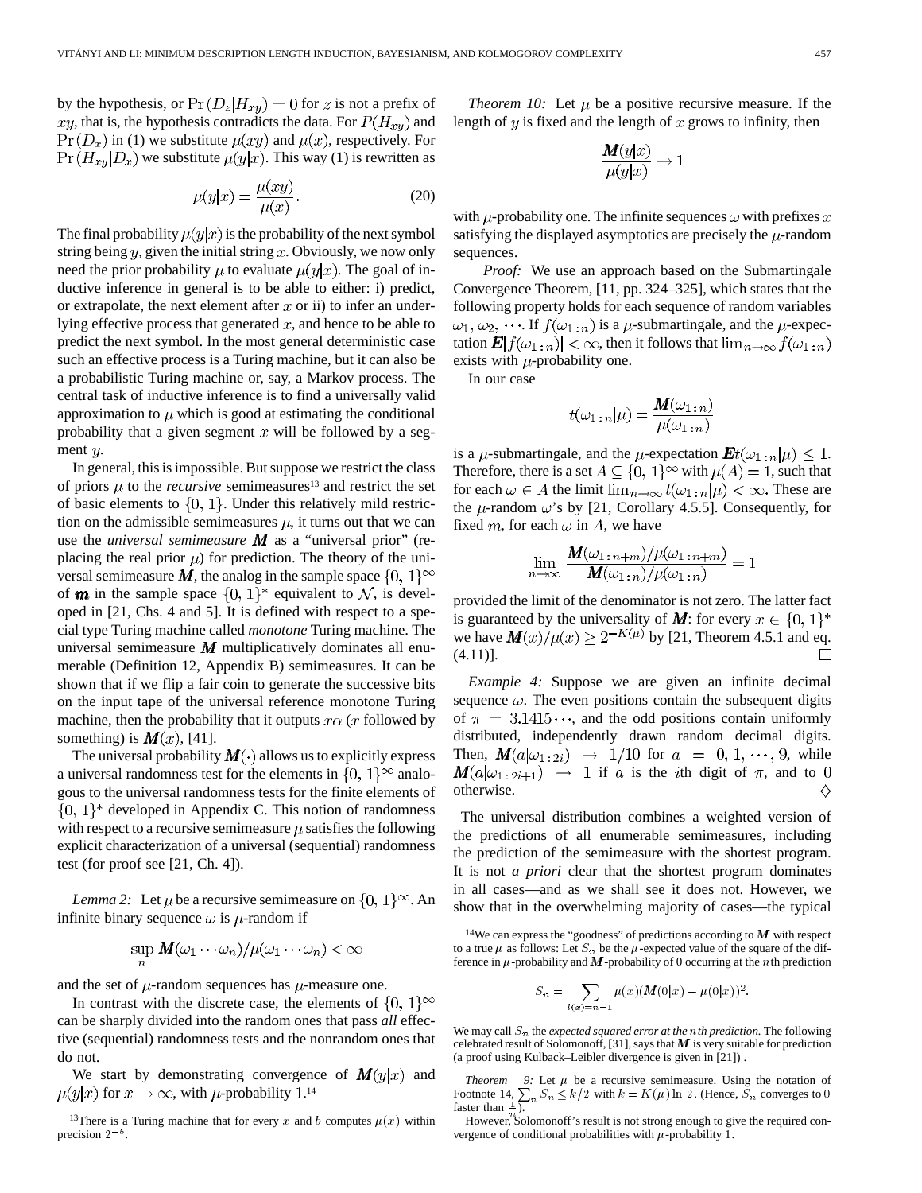by the hypothesis, or  $Pr(D_z|H_{xy}) = 0$  for z is not a prefix of xy, that is, the hypothesis contradicts the data. For  $P(H_{xy})$  and  $Pr(D_x)$  in (1) we substitute  $\mu(xy)$  and  $\mu(x)$ , respectively. For  $Pr(H_{xy}|D_x)$  we substitute  $\mu(y|x)$ . This way (1) is rewritten as

$$
\mu(y|x) = \frac{\mu(xy)}{\mu(x)}.\tag{20}
$$

The final probability  $\mu(y|x)$  is the probability of the next symbol string being  $y$ , given the initial string  $x$ . Obviously, we now only need the prior probability  $\mu$  to evaluate  $\mu(y|x)$ . The goal of inductive inference in general is to be able to either: i) predict, or extrapolate, the next element after  $x$  or ii) to infer an underlying effective process that generated  $x$ , and hence to be able to predict the next symbol. In the most general deterministic case such an effective process is a Turing machine, but it can also be a probabilistic Turing machine or, say, a Markov process. The central task of inductive inference is to find a universally valid approximation to  $\mu$  which is good at estimating the conditional probability that a given segment x will be followed by a segment  $y$ .

In general, this is impossible. But suppose we restrict the class of priors  $\mu$  to the *recursive* semimeasures<sup>13</sup> and restrict the set of basic elements to  $\{0, 1\}$ . Under this relatively mild restriction on the admissible semimeasures  $\mu$ , it turns out that we can use the *universal semimeasure*  $M$  as a "universal prior" (replacing the real prior  $\mu$ ) for prediction. The theory of the universal semimeasure M, the analog in the sample space  $\{0, 1\}^{\infty}$ of **m** in the sample space  $\{0, 1\}^*$  equivalent to  $\mathcal{N}$ , is developed in [21, Chs. 4 and 5]. It is defined with respect to a special type Turing machine called *monotone* Turing machine. The universal semimeasure  $M$  multiplicatively dominates all enumerable (Definition 12, Appendix B) semimeasures. It can be shown that if we flip a fair coin to generate the successive bits on the input tape of the universal reference monotone Turing machine, then the probability that it outputs  $x\alpha$  (*x* followed by something) is  $M(x)$ , [41].

The universal probability  $M(\cdot)$  allows us to explicitly express a universal randomness test for the elements in  $\{0, 1\}^{\infty}$  analogous to the universal randomness tests for the finite elements of  $\{0, 1\}^*$  developed in Appendix C. This notion of randomness with respect to a recursive semimeasure  $\mu$  satisfies the following explicit characterization of a universal (sequential) randomness test (for proof see [21, Ch. 4]).

*Lemma 2:* Let  $\mu$  be a recursive semimeasure on  $\{0, 1\}^{\infty}$ . An infinite binary sequence  $\omega$  is  $\mu$ -random if

$$
\sup_n \mathbf{M}(\omega_1 \cdots \omega_n) / \mu(\omega_1 \cdots \omega_n) < \infty
$$

and the set of  $\mu$ -random sequences has  $\mu$ -measure one.

In contrast with the discrete case, the elements of  $\{0, 1\}^{\infty}$ can be sharply divided into the random ones that pass *all* effective (sequential) randomness tests and the nonrandom ones that do not.

We start by demonstrating convergence of  $M(y|x)$  and  $\mu(y|x)$  for  $x \to \infty$ , with  $\mu$ -probability 1.<sup>14</sup>

<sup>13</sup>There is a Turing machine that for every x and b computes  $\mu(x)$  within precision  $2^{-b}$ .

*Theorem 10:* Let  $\mu$  be a positive recursive measure. If the length of  $y$  is fixed and the length of  $x$  grows to infinity, then

$$
\frac{\mathbf{M}(y|x)}{\mu(y|x)} \to 1
$$

with  $\mu$ -probability one. The infinite sequences  $\omega$  with prefixes x satisfying the displayed asymptotics are precisely the  $\mu$ -random sequences.

*Proof:* We use an approach based on the Submartingale Convergence Theorem, [11, pp. 324–325], which states that the following property holds for each sequence of random variables  $\omega_1, \omega_2, \cdots$ . If  $f(\omega_{1:n})$  is a  $\mu$ -submartingale, and the  $\mu$ -expectation  $\mathbf{E}[f(\omega_{1:n})] < \infty$ , then it follows that  $\lim_{n\to\infty} f(\omega_{1:n})$ exists with  $\mu$ -probability one.

In our case

$$
t(\omega_{1\,:\,n}|\mu) = \frac{\mathbf{M}(\omega_{1\,:\,n})}{\mu(\omega_{1\,:\,n})}
$$

is a  $\mu$ -submartingale, and the  $\mu$ -expectation  $\mathbf{E}t(\omega_{1:n}|\mu) \leq 1$ . Therefore, there is a set  $A \subseteq \{0, 1\}^{\infty}$  with  $\mu(A) = 1$ , such that for each  $\omega \in A$  the limit  $\lim_{n \to \infty} t(\omega_{1:n}|\mu) < \infty$ . These are the  $\mu$ -random  $\omega$ 's by [21, Corollary 4.5.5]. Consequently, for fixed m, for each  $\omega$  in A, we have

$$
\lim_{n \to \infty} \frac{\mathbf{M}(\omega_{1+n+m})/\mu(\omega_{1+n+m})}{\mathbf{M}(\omega_{1+n})/\mu(\omega_{1+n})} = 1
$$

provided the limit of the denominator is not zero. The latter fact is guaranteed by the universality of **M**: for every  $x \in \{0, 1\}^*$ we have  $M(x)/\mu(x) \geq 2^{-K(\mu)}$  by [21, Theorem 4.5.1 and eq.  $(4.11)$ ].  $\Box$ 

*Example 4:* Suppose we are given an infinite decimal sequence  $\omega$ . The even positions contain the subsequent digits of  $\pi = 3.1415...,$  and the odd positions contain uniformly distributed, independently drawn random decimal digits. Then,  $\mathbf{M}(a|\omega_{1:2i}) \rightarrow 1/10$  for  $a = 0, 1, \dots, 9$ , while  $M(a|\omega_{1:2i+1}) \rightarrow 1$  if a is the *i*th digit of  $\pi$ , and to 0 otherwise. ♦

The universal distribution combines a weighted version of the predictions of all enumerable semimeasures, including the prediction of the semimeasure with the shortest program. It is not *a priori* clear that the shortest program dominates in all cases—and as we shall see it does not. However, we show that in the overwhelming majority of cases—the typical

<sup>14</sup>We can express the "goodness" of predictions according to  $M$  with respect to a true  $\mu$  as follows: Let  $S_n$  be the  $\mu$ -expected value of the square of the difference in  $\mu$ -probability and  $M$ -probability of 0 occurring at the *n*th prediction

$$
S_n = \sum_{l(x)=n-1} \mu(x) (\mathbf{M}(0|x) - \mu(0|x))^2.
$$

We may call  $S_n$  the *expected squared error at the* nth prediction. The following celebrated result of Solomonoff, [31], says that  $M$  is very suitable for prediction (a proof using Kulback–Leibler divergence is given in [21]) .

*Theorem* 9: Let  $\mu$  be a recursive semimeasure. Using the notation of Footnote 14,  $\sum_{n} S_n \le k/2$  with  $k = K(\mu) \ln 2$ . (Hence,  $\widetilde{S}_n$  converges to 0 faster than  $\frac{1}{n}$ ).

However, Solomonoff's result is not strong enough to give the required convergence of conditional probabilities with  $\mu$ -probability 1.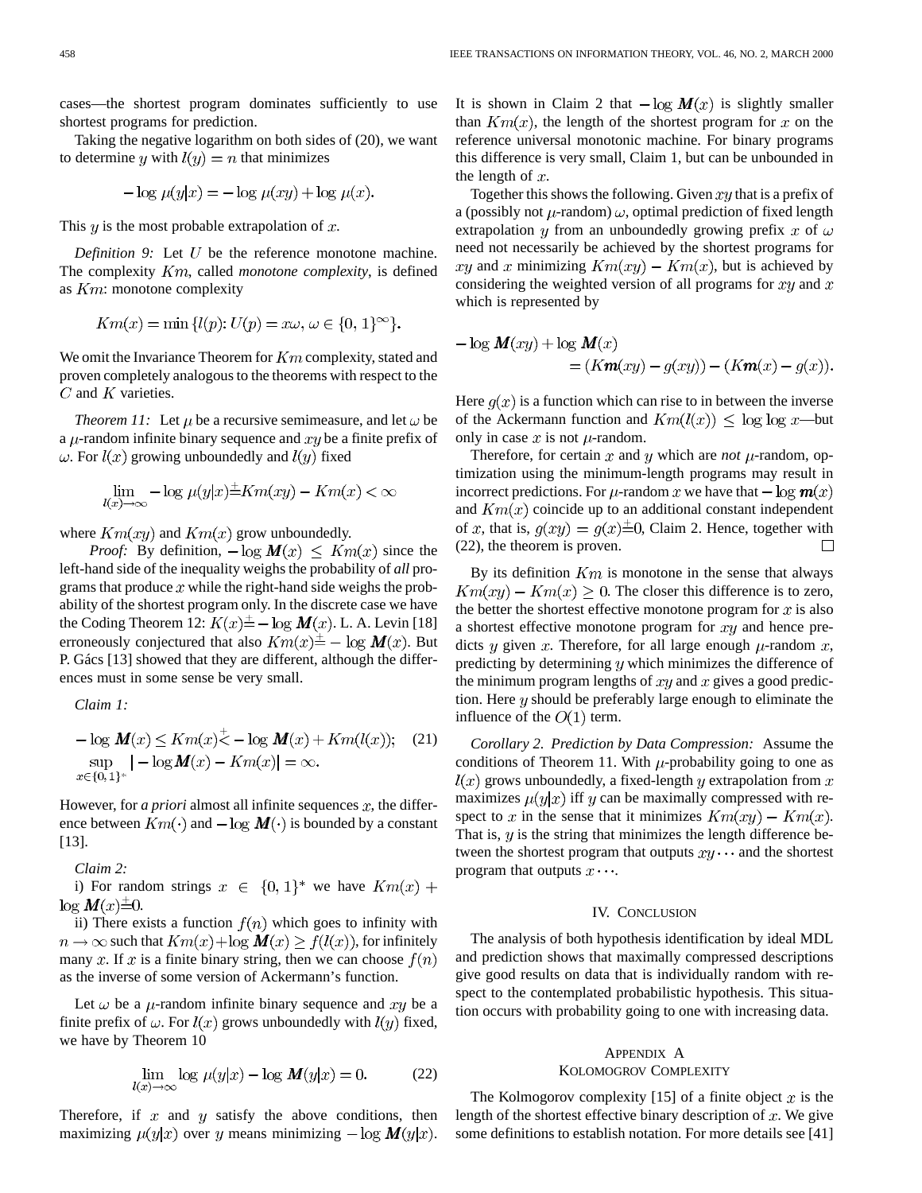cases—the shortest program dominates sufficiently to use shortest programs for prediction.

Taking the negative logarithm on both sides of (20), we want to determine y with  $l(y) = n$  that minimizes

$$
-\log \mu(y|x) = -\log \mu(xy) + \log \mu(x).
$$

This  $y$  is the most probable extrapolation of  $x$ .

*Definition 9:* Let  $U$  be the reference monotone machine. The complexity  $Km$ , called *monotone complexity*, is defined as  $Km$ : monotone complexity

$$
Km(x) = \min \{l(p): U(p) = x\omega, \omega \in \{0, 1\}^{\infty}\}\
$$

We omit the Invariance Theorem for  $K_m$  complexity, stated and proven completely analogous to the theorems with respect to the  $C$  and  $K$  varieties.

*Theorem 11:* Let  $\mu$  be a recursive semimeasure, and let  $\omega$  be a  $\mu$ -random infinite binary sequence and  $xy$  be a finite prefix of  $\omega$ . For  $l(x)$  growing unboundedly and  $l(y)$  fixed

$$
\lim_{l(x)\to\infty} -\log \mu(y|x) \stackrel{+}{=} Km(xy) - Km(x) < \infty
$$

where  $Km(xy)$  and  $Km(x)$  grow unboundedly.

*Proof:* By definition,  $-\log M(x) \leq Km(x)$  since the left-hand side of the inequality weighs the probability of *all* programs that produce  $x$  while the right-hand side weighs the probability of the shortest program only. In the discrete case we have the Coding Theorem 12:  $K(x) = -\log M(x)$ . L. A. Levin [18] erroneously conjectured that also  $Km(x) = -\log M(x)$ . But P. Gács [13] showed that they are different, although the differences must in some sense be very small.

*Claim 1:*

$$
- \log M(x) \le Km(x)^{-1} - \log M(x) + Km(l(x)); \quad (21)
$$
  
\n
$$
\sup_{x \in \{0,1\}^*} |-\log M(x) - Km(x)| = \infty.
$$

However, for  $a$  priori almost all infinite sequences  $x$ , the difference between  $Km(\cdot)$  and  $-\log M(\cdot)$  is bounded by a constant [13].

*Claim 2:*

i) For random strings  $x \in \{0, 1\}^*$  we have  $Km(x)$  +  $\log M(x) \stackrel{+}{=} 0.$ 

ii) There exists a function  $f(n)$  which goes to infinity with  $n \to \infty$  such that  $Km(x) + \log M(x) \ge f(l(x))$ , for infinitely many x. If x is a finite binary string, then we can choose  $f(n)$ as the inverse of some version of Ackermann's function.

Let  $\omega$  be a  $\mu$ -random infinite binary sequence and  $\tau \nu$  be a finite prefix of  $\omega$ . For  $l(x)$  grows unboundedly with  $l(y)$  fixed, we have by Theorem 10

$$
\lim_{l(x)\to\infty} \log \mu(y|x) - \log M(y|x) = 0. \tag{22}
$$

Therefore, if  $x$  and  $y$  satisfy the above conditions, then maximizing  $\mu(y|x)$  over y means minimizing  $-\log M(y|x)$ .

It is shown in Claim 2 that  $-\log M(x)$  is slightly smaller than  $Km(x)$ , the length of the shortest program for x on the reference universal monotonic machine. For binary programs this difference is very small, Claim 1, but can be unbounded in the length of  $x$ .

Together this shows the following. Given  $xy$  that is a prefix of a (possibly not  $\mu$ -random)  $\omega$ , optimal prediction of fixed length extrapolation y from an unboundedly growing prefix x of  $\omega$ need not necessarily be achieved by the shortest programs for xy and x minimizing  $Km(xy) - Km(x)$ , but is achieved by considering the weighted version of all programs for  $xy$  and  $x$ which is represented by

$$
- \log \mathbf{M}(xy) + \log \mathbf{M}(x)
$$
  
=  $(K\mathbf{m}(xy) - g(xy)) - (K\mathbf{m}(x) - g(x)).$ 

Here  $g(x)$  is a function which can rise to in between the inverse of the Ackermann function and  $Km(l(x)) \leq \log \log x$ —but only in case  $x$  is not  $\mu$ -random.

Therefore, for certain  $x$  and  $y$  which are *not*  $\mu$ -random, optimization using the minimum-length programs may result in incorrect predictions. For  $\mu$ -random x we have that  $-\log m(x)$ and  $Km(x)$  coincide up to an additional constant independent of x, that is,  $g(xy) = g(x) \pm 0$ , Claim 2. Hence, together with (22), the theorem is proven.  $\Box$ 

By its definition  $Km$  is monotone in the sense that always  $Km(xy) - Km(x) \geq 0$ . The closer this difference is to zero, the better the shortest effective monotone program for  $x$  is also a shortest effective monotone program for  $xy$  and hence predicts y given x. Therefore, for all large enough  $\mu$ -random x, predicting by determining  $y$  which minimizes the difference of the minimum program lengths of  $xy$  and  $x$  gives a good prediction. Here  $y$  should be preferably large enough to eliminate the influence of the  $O(1)$  term.

*Corollary 2. Prediction by Data Compression:* Assume the conditions of Theorem 11. With  $\mu$ -probability going to one as  $l(x)$  grows unboundedly, a fixed-length y extrapolation from x maximizes  $\mu(y|x)$  iff y can be maximally compressed with respect to x in the sense that it minimizes  $Km(xy) - Km(x)$ . That is,  $y$  is the string that minimizes the length difference between the shortest program that outputs  $xy \cdots$  and the shortest program that outputs  $x \cdots$ .

## IV. CONCLUSION

The analysis of both hypothesis identification by ideal MDL and prediction shows that maximally compressed descriptions give good results on data that is individually random with respect to the contemplated probabilistic hypothesis. This situation occurs with probability going to one with increasing data.

## APPENDIX A

## KOLOMOGROV COMPLEXITY

The Kolmogorov complexity [15] of a finite object  $x$  is the length of the shortest effective binary description of  $x$ . We give some definitions to establish notation. For more details see [41]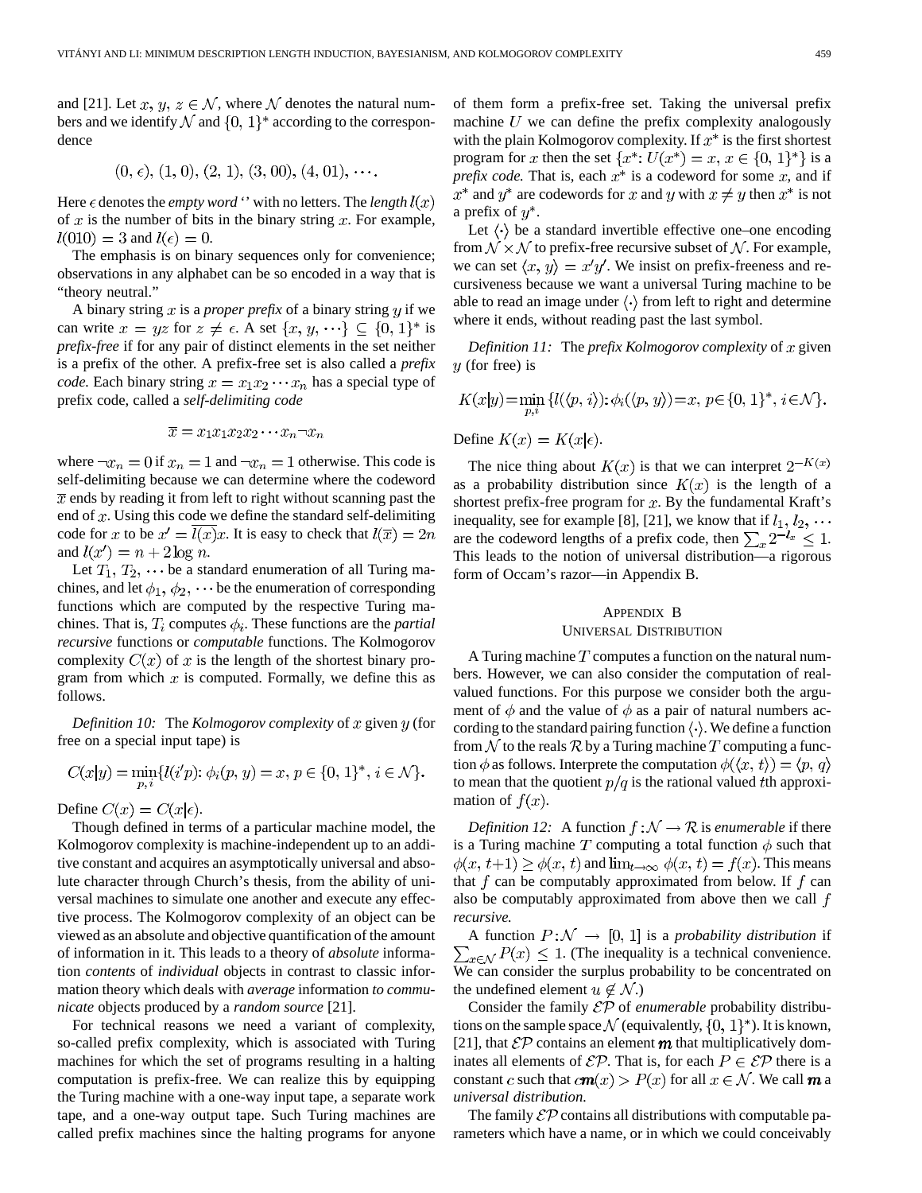and [21]. Let  $x, y, z \in \mathcal{N}$ , where  $\mathcal N$  denotes the natural numbers and we identify  $\mathcal N$  and  $\{0, 1\}^*$  according to the correspondence

$$
(0, \epsilon), (1, 0), (2, 1), (3, 00), (4, 01), \cdots.
$$

Here  $\epsilon$  denotes the *empty word* " with no letters. The *length*  $l(x)$ of  $x$  is the number of bits in the binary string  $x$ . For example,  $l(010) = 3$  and  $l(\epsilon) = 0$ .

The emphasis is on binary sequences only for convenience; observations in any alphabet can be so encoded in a way that is "theory neutral."

A binary string x is a *proper prefix* of a binary string y if we can write  $x = yz$  for  $z \neq \epsilon$ . A set  $\{x, y, \dots\} \subseteq \{0, 1\}^*$  is *prefix-free* if for any pair of distinct elements in the set neither is a prefix of the other. A prefix-free set is also called a *prefix code.* Each binary string  $x = x_1 x_2 \cdots x_n$  has a special type of prefix code, called a *self-delimiting code*

$$
\overline{x} = x_1 x_1 x_2 x_2 \cdots x_n \neg x_n
$$

where  $\neg x_n = 0$  if  $x_n = 1$  and  $\neg x_n = 1$  otherwise. This code is self-delimiting because we can determine where the codeword  $\bar{x}$  ends by reading it from left to right without scanning past the end of  $x$ . Using this code we define the standard self-delimiting code for x to be  $x' = l(x)x$ . It is easy to check that  $l(\overline{x}) = 2n$ and  $l(x') = n + 2\log n$ .

Let  $T_1, T_2, \dots$  be a standard enumeration of all Turing machines, and let  $\phi_1, \phi_2, \cdots$  be the enumeration of corresponding functions which are computed by the respective Turing machines. That is,  $T_i$  computes  $\phi_i$ . These functions are the *partial recursive* functions or *computable* functions. The Kolmogorov complexity  $C(x)$  of x is the length of the shortest binary program from which  $x$  is computed. Formally, we define this as follows.

*Definition 10:* The *Kolmogorov complexity* of x given  $y$  (for free on a special input tape) is

$$
C(x|y) = \min_{p, i} \{ l(i'p) \colon \phi_i(p, y) = x, \, p \in \{0, 1\}^*, \, i \in \mathcal{N} \}.
$$

Define  $C(x) = C(x|\epsilon)$ .

Though defined in terms of a particular machine model, the Kolmogorov complexity is machine-independent up to an additive constant and acquires an asymptotically universal and absolute character through Church's thesis, from the ability of universal machines to simulate one another and execute any effective process. The Kolmogorov complexity of an object can be viewed as an absolute and objective quantification of the amount of information in it. This leads to a theory of *absolute* information *contents* of *individual* objects in contrast to classic information theory which deals with *average* information *to communicate* objects produced by a *random source* [21].

For technical reasons we need a variant of complexity, so-called prefix complexity, which is associated with Turing machines for which the set of programs resulting in a halting computation is prefix-free. We can realize this by equipping the Turing machine with a one-way input tape, a separate work tape, and a one-way output tape. Such Turing machines are called prefix machines since the halting programs for anyone of them form a prefix-free set. Taking the universal prefix machine  $U$  we can define the prefix complexity analogously with the plain Kolmogorov complexity. If  $x^*$  is the first shortest program for x then the set  $\{x^*\colon U(x^*) = x, x \in \{0, 1\}^*\}$  is a *prefix code.* That is, each  $x^*$  is a codeword for some  $x$ , and if  $x^*$  and  $y^*$  are codewords for x and y with  $x \neq y$  then  $x^*$  is not a prefix of  $y^*$ .

Let  $\langle \cdot \rangle$  be a standard invertible effective one–one encoding from  $\mathcal{N} \times \mathcal{N}$  to prefix-free recursive subset of  $\mathcal{N}$ . For example, we can set  $\langle x, y \rangle = x'y'$ . We insist on prefix-freeness and recursiveness because we want a universal Turing machine to be able to read an image under  $\langle \cdot \rangle$  from left to right and determine where it ends, without reading past the last symbol.

*Definition 11:* The *prefix Kolmogorov complexity* of x given  $y$  (for free) is

$$
K(x|y) = \min_{p,i} \{l(\langle p, i \rangle) : \phi_i(\langle p, y \rangle) = x, \ p \in \{0, 1\}^*, \ i \in \mathcal{N}\}.
$$

Define  $K(x) = K(x|\epsilon)$ .

The nice thing about  $K(x)$  is that we can interpret  $2^{-K(x)}$ as a probability distribution since  $K(x)$  is the length of a shortest prefix-free program for  $x$ . By the fundamental Kraft's inequality, see for example [8], [21], we know that if  $l_1, l_2, \cdots$ are the codeword lengths of a prefix code, then  $\sum_{x} 2^{-l_x} \leq 1$ . This leads to the notion of universal distribution—a rigorous form of Occam's razor—in Appendix B.

# APPENDIX B

## UNIVERSAL DISTRIBUTION

A Turing machine  $T$  computes a function on the natural numbers. However, we can also consider the computation of realvalued functions. For this purpose we consider both the argument of  $\phi$  and the value of  $\phi$  as a pair of natural numbers according to the standard pairing function  $\langle \cdot \rangle$ . We define a function from  $\mathcal N$  to the reals  $\mathcal R$  by a Turing machine  $T$  computing a function  $\phi$  as follows. Interprete the computation  $\phi(\langle x, t \rangle) = \langle p, q \rangle$ to mean that the quotient  $p/q$  is the rational valued the approximation of  $f(x)$ .

*Definition 12:* A function  $f : \mathcal{N} \to \mathcal{R}$  is *enumerable* if there is a Turing machine T computing a total function  $\phi$  such that  $\phi(x, t+1) \ge \phi(x, t)$  and  $\lim_{t \to \infty} \phi(x, t) = f(x)$ . This means that  $f$  can be computably approximated from below. If  $f$  can also be computably approximated from above then we call  $f$ *recursive.*

A function  $P:\mathcal{N} \to [0, 1]$  is a *probability distribution* if  $\sum_{x \in \mathcal{N}} P(x) \leq 1$ . (The inequality is a technical convenience. We can consider the surplus probability to be concentrated on the undefined element  $u \notin \mathcal{N}$ .)

Consider the family  $\mathcal{E} \mathcal{P}$  of *enumerable* probability distributions on the sample space  $\mathcal N$  (equivalently,  $\{0, 1\}^*$ ). It is known, [21], that  $\mathcal{EP}$  contains an element  $\boldsymbol{m}$  that multiplicatively dominates all elements of  $\mathcal{EP}$ . That is, for each  $P \in \mathcal{EP}$  there is a constant c such that  $cm(x) > P(x)$  for all  $x \in \mathcal{N}$ . We call **m** a *universal distribution.*

The family  $\mathcal{EP}$  contains all distributions with computable parameters which have a name, or in which we could conceivably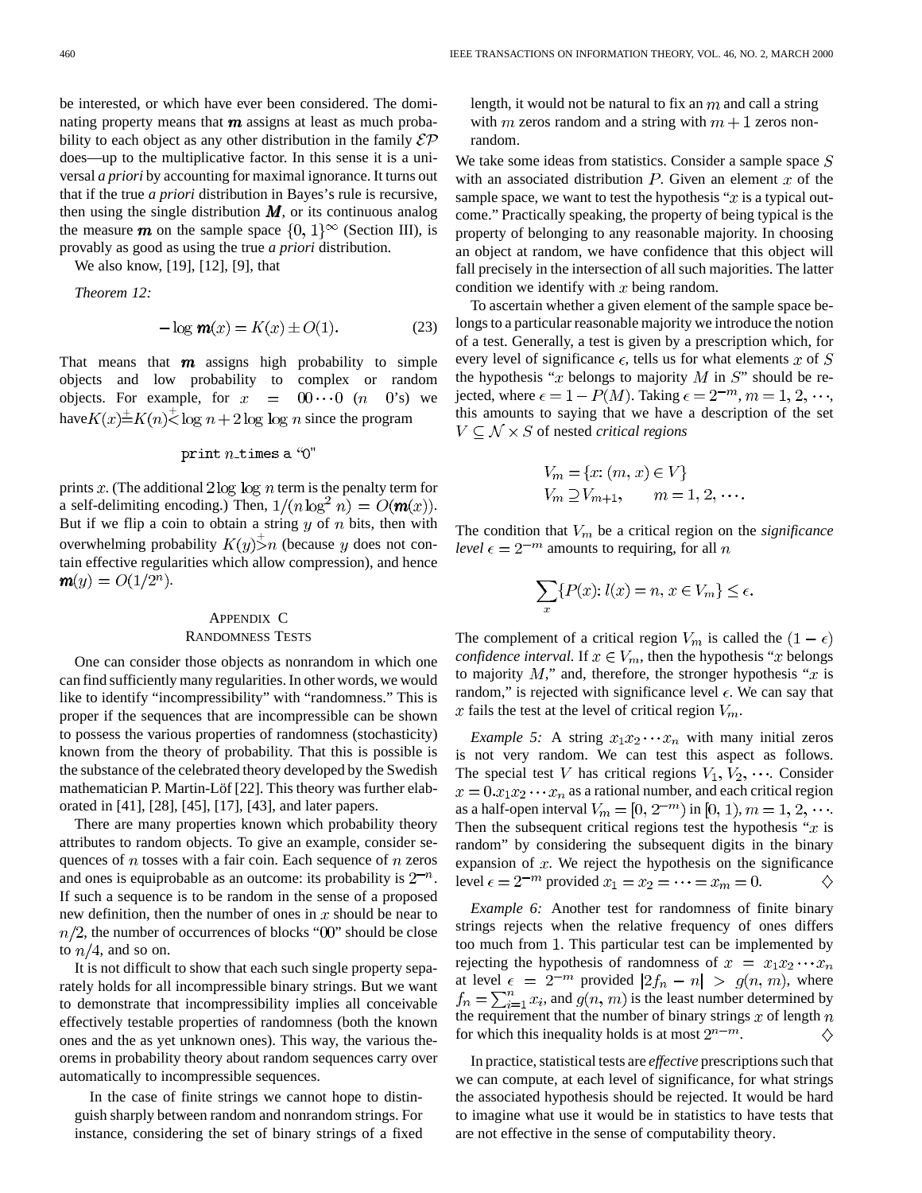be interested, or which have ever been considered. The dominating property means that  $m$  assigns at least as much probability to each object as any other distribution in the family  $\mathcal{E} \mathcal{P}$ does—up to the multiplicative factor. In this sense it is a universal *a priori* by accounting for maximal ignorance. It turns out that if the true *a priori* distribution in Bayes's rule is recursive, then using the single distribution  $M$ , or its continuous analog the measure **m** on the sample space  $\{0, 1\}^{\infty}$  (Section III), is provably as good as using the true *a priori* distribution.

We also know, [19], [12], [9], that

*Theorem 12:*

$$
-\log \mathbf{m}(x) = K(x) \pm O(1). \tag{23}
$$

That means that  $m$  assigns high probability to simple objects and low probability to complex or random objects. For example, for  $x = 00 \cdots 0$  (*n* 0's) we have  $K(x) \neq K(n) < \log n + 2 \log \log n$  since the program

#### ''

prints x. (The additional  $2 \log \log n$  term is the penalty term for a self-delimiting encoding.) Then,  $1/(n \log^2 n) = O(m(x))$ . But if we flip a coin to obtain a string  $y$  of  $n$  bits, then with overwhelming probability  $K(y) \stackrel{+}{\gt} n$  (because y does not contain effective regularities which allow compression), and hence  $m(y) = O(1/2^n)$ .

# APPENDIX C RANDOMNESS TESTS

One can consider those objects as nonrandom in which one can find sufficiently many regularities. In other words, we would like to identify "incompressibility" with "randomness." This is proper if the sequences that are incompressible can be shown to possess the various properties of randomness (stochasticity) known from the theory of probability. That this is possible is the substance of the celebrated theory developed by the Swedish mathematician P. Martin-Löf [22]. This theory was further elaborated in [41], [28], [45], [17], [43], and later papers.

There are many properties known which probability theory attributes to random objects. To give an example, consider sequences of  $n$  tosses with a fair coin. Each sequence of  $n$  zeros and ones is equiprobable as an outcome: its probability is  $2^{-n}$ . If such a sequence is to be random in the sense of a proposed new definition, then the number of ones in  $x$  should be near to  $n/2$ , the number of occurrences of blocks " $00$ " should be close to  $n/4$ , and so on.

It is not difficult to show that each such single property separately holds for all incompressible binary strings. But we want to demonstrate that incompressibility implies all conceivable effectively testable properties of randomness (both the known ones and the as yet unknown ones). This way, the various theorems in probability theory about random sequences carry over automatically to incompressible sequences.

In the case of finite strings we cannot hope to distinguish sharply between random and nonrandom strings. For instance, considering the set of binary strings of a fixed length, it would not be natural to fix an  $m$  and call a string with m zeros random and a string with  $m + 1$  zeros nonrandom.

We take some ideas from statistics. Consider a sample space  $S$ with an associated distribution  $P$ . Given an element  $x$  of the sample space, we want to test the hypothesis " $x$  is a typical outcome." Practically speaking, the property of being typical is the property of belonging to any reasonable majority. In choosing an object at random, we have confidence that this object will fall precisely in the intersection of all such majorities. The latter condition we identify with  $x$  being random.

To ascertain whether a given element of the sample space belongs to a particular reasonable majority we introduce the notion of a test. Generally, a test is given by a prescription which, for every level of significance  $\epsilon$ , tells us for what elements x of S the hypothesis "x belongs to majority  $M$  in  $S$ " should be rejected, where  $\epsilon = 1 - P(M)$ . Taking  $\epsilon = 2^{-m}$ ,  $m = 1, 2, \dots$ , this amounts to saying that we have a description of the set  $V \subseteq \mathcal{N} \times S$  of nested *critical regions* 

$$
V_m = \{x: (m, x) \in V\}
$$
  

$$
V_m \supseteq V_{m+1}, \qquad m = 1, 2, \cdots
$$

The condition that  $V_m$  be a critical region on the *significance level*  $\epsilon = 2^{-m}$  amounts to requiring, for all *n* 

$$
\sum_{x} \{P(x): l(x) = n, x \in V_m\} \le \epsilon.
$$

The complement of a critical region  $V_m$  is called the  $(1 - \epsilon)$ *confidence interval.* If  $x \in V_m$ , then the hypothesis "x belongs" to majority  $M$ ," and, therefore, the stronger hypothesis " $x$  is random," is rejected with significance level  $\epsilon$ . We can say that x fails the test at the level of critical region  $V_m$ .

*Example 5:* A string  $x_1x_2 \cdots x_n$  with many initial zeros is not very random. We can test this aspect as follows. The special test V has critical regions  $V_1, V_2, \cdots$ . Consider  $x = 0.x_1x_2...x_n$  as a rational number, and each critical region as a half-open interval  $V_m = [0, 2^{-m})$  in  $[0, 1), m = 1, 2, \cdots$ . Then the subsequent critical regions test the hypothesis " $x$  is random" by considering the subsequent digits in the binary expansion of  $x$ . We reject the hypothesis on the significance level  $\epsilon = 2^{-m}$  provided  $x_1 = x_2 = \cdots = x_m = 0$ .

*Example 6:* Another test for randomness of finite binary strings rejects when the relative frequency of ones differs too much from 1. This particular test can be implemented by rejecting the hypothesis of randomness of  $x = x_1x_2 \cdots x_n$ at level  $\epsilon = 2^{-m}$  provided  $|2f_n - n| > g(n, m)$ , where  $f_n = \sum_{i=1}^n x_i$ , and  $g(n, m)$  is the least number determined by the requirement that the number of binary strings  $x$  of length  $n$ for which this inequality holds is at most  $2^{n-m}$ . ♦

In practice, statistical tests are *effective* prescriptions such that we can compute, at each level of significance, for what strings the associated hypothesis should be rejected. It would be hard to imagine what use it would be in statistics to have tests that are not effective in the sense of computability theory.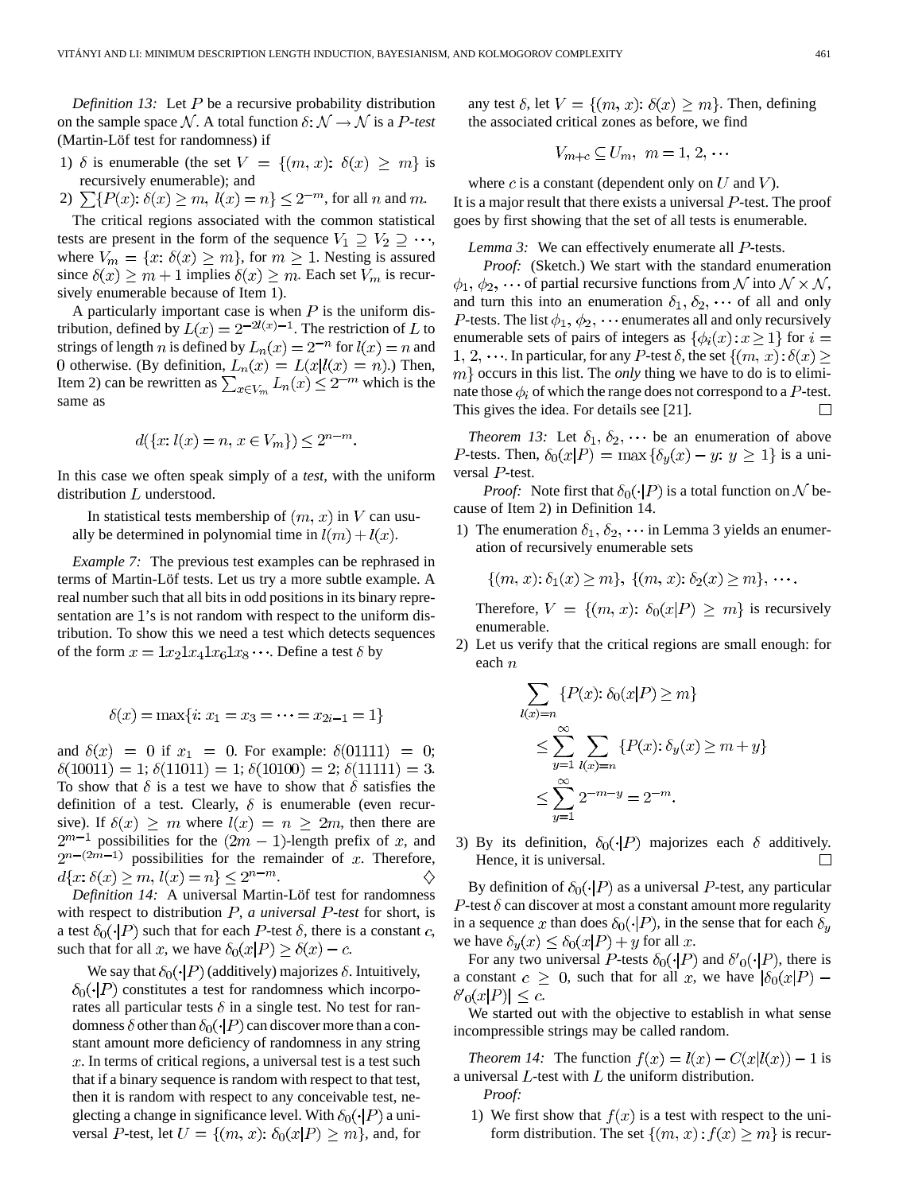*Definition 13:* Let  $P$  be a recursive probability distribution on the sample space N. A total function  $\delta: \mathcal{N} \to \mathcal{N}$  is a P-test (Martin-Löf test for randomness) if

- 1)  $\delta$  is enumerable (the set  $V = \{(m, x): \delta(x) \geq m\}$  is recursively enumerable); and
- 2)  $\sum {P(x) : \delta(x) \ge m, l(x) = n} \le 2^{-m}$ , for all *n* and *m*.

The critical regions associated with the common statistical tests are present in the form of the sequence  $V_1 \supseteq V_2 \supseteq \cdots$ , where  $V_m = \{x: \delta(x) \geq m\}$ , for  $m \geq 1$ . Nesting is assured since  $\delta(x) \ge m + 1$  implies  $\delta(x) \ge m$ . Each set  $V_m$  is recursively enumerable because of Item 1).

A particularly important case is when  $P$  is the uniform distribution, defined by  $L(x) = 2^{-2l(x)-1}$ . The restriction of L to strings of length *n* is defined by  $L_n(x) = 2^{-n}$  for  $l(x) = n$  and 0 otherwise. (By definition,  $L_n(x) = L(x|l(x) = n)$ .) Then, Item 2) can be rewritten as  $\sum_{x \in V_m} L_n(x) \leq 2^{-m}$  which is the same as

$$
d({x: l(x) = n, x \in V_m}) \le 2^{n-m}
$$

In this case we often speak simply of a *test,* with the uniform distribution  $L$  understood.

In statistical tests membership of  $(m, x)$  in V can usually be determined in polynomial time in  $l(m) + l(x)$ .

*Example 7:* The previous test examples can be rephrased in terms of Martin-Löf tests. Let us try a more subtle example. A real number such that all bits in odd positions in its binary representation are 1's is not random with respect to the uniform distribution. To show this we need a test which detects sequences of the form  $x = 1x_21x_41x_61x_8 \cdots$ . Define a test  $\delta$  by

$$
\delta(x) = \max\{i \colon x_1 = x_3 = \dots = x_{2i-1} = 1\}
$$

and  $\delta(x) = 0$  if  $x_1 = 0$ . For example:  $\delta(01111) = 0$ ;  $\delta(10011) = 1; \delta(11011) = 1; \delta(10100) = 2; \delta(11111) = 3.$ To show that  $\delta$  is a test we have to show that  $\delta$  satisfies the definition of a test. Clearly,  $\delta$  is enumerable (even recursive). If  $\delta(x) \geq m$  where  $l(x) = n \geq 2m$ , then there are  $2^{m-1}$  possibilities for the  $(2m - 1)$ -length prefix of x, and  $2^{n-(2m-1)}$  possibilities for the remainder of x. Therefore,  $d\{x: \delta(x) \geq m, l(x) = n\} \leq 2^{n-m}.$ 

*Definition 14:* A universal Martin-Löf test for randomness with respect to distribution  $P$ , *a universal P-test* for short, is a test  $\delta_0(\cdot|P)$  such that for each P-test  $\delta$ , there is a constant c, such that for all x, we have  $\delta_0(x|P) \geq \delta(x) - c$ .

We say that  $\delta_0(\cdot|P)$  (additively) majorizes  $\delta$ . Intuitively,  $\delta_0(\cdot|P)$  constitutes a test for randomness which incorporates all particular tests  $\delta$  in a single test. No test for randomness  $\delta$  other than  $\delta_0(\cdot|P)$  can discover more than a constant amount more deficiency of randomness in any string  $x$ . In terms of critical regions, a universal test is a test such that if a binary sequence is random with respect to that test, then it is random with respect to any conceivable test, neglecting a change in significance level. With  $\delta_0(\cdot|P)$  a universal P-test, let  $U = \{(m, x): \delta_0(x|P) \ge m\}$ , and, for

any test  $\delta$ , let  $V = \{(m, x): \delta(x) \geq m\}$ . Then, defining the associated critical zones as before, we find

$$
V_{m+c} \subseteq U_m, \ m = 1, 2, \cdots
$$

where  $c$  is a constant (dependent only on  $U$  and  $V$ ). It is a major result that there exists a universal  $P$ -test. The proof goes by first showing that the set of all tests is enumerable.

*Lemma 3:* We can effectively enumerate all P-tests.

*Proof:* (Sketch.) We start with the standard enumeration  $\phi_1, \phi_2, \cdots$  of partial recursive functions from N into  $\mathcal{N} \times \mathcal{N}$ , and turn this into an enumeration  $\delta_1$ ,  $\delta_2$ ,  $\cdots$  of all and only P-tests. The list  $\phi_1, \phi_2, \cdots$  enumerates all and only recursively enumerable sets of pairs of integers as  $\{\phi_i(x): x \geq 1\}$  for  $i =$ 1, 2,  $\cdots$ . In particular, for any P-test  $\delta$ , the set  $\{(m, x): \delta(x) \geq 1\}$  $m$  occurs in this list. The *only* thing we have to do is to eliminate those  $\phi_i$  of which the range does not correspond to a P-test. This gives the idea. For details see [21].  $\Box$ 

*Theorem 13:* Let  $\delta_1, \delta_2, \cdots$  be an enumeration of above P-tests. Then,  $\delta_0(x|P) = \max{\{\delta_y(x) - y: y \ge 1\}}$  is a universal  $P$ -test.

*Proof:* Note first that  $\delta_0(\cdot | P)$  is a total function on N because of Item 2) in Definition 14.

1) The enumeration  $\delta_1, \delta_2, \cdots$  in Lemma 3 yields an enumeration of recursively enumerable sets

$$
\{(m, x): \delta_1(x) \ge m\}, \ \{(m, x): \delta_2(x) \ge m\}, \ \cdots.
$$

Therefore,  $V = \{(m, x): \delta_0(x|P) \geq m\}$  is recursively enumerable.

2) Let us verify that the critical regions are small enough: for each  $n$ 

$$
\sum_{l(x)=n} \{P(x): \delta_0(x|P) \ge m\}
$$
  
\n
$$
\le \sum_{y=1}^{\infty} \sum_{l(x)=n} \{P(x): \delta_y(x) \ge m + y\}
$$
  
\n
$$
\le \sum_{y=1}^{\infty} 2^{-m-y} = 2^{-m}.
$$

3) By its definition,  $\delta_0(\cdot|P)$  majorizes each  $\delta$  additively. Hence, it is universal. П

By definition of  $\delta_0(\cdot|P)$  as a universal P-test, any particular P-test  $\delta$  can discover at most a constant amount more regularity in a sequence x than does  $\delta_0(\cdot|P)$ , in the sense that for each  $\delta_y$ we have  $\delta_y(x) \leq \delta_0(x|P) + y$  for all x.

For any two universal P-tests  $\delta_0(\cdot|P)$  and  $\delta'_0(\cdot|P)$ , there is a constant  $c \geq 0$ , such that for all x, we have  $\delta_0(x|P)$  –  $\delta'_{0}(x|P)| \leq c.$ 

We started out with the objective to establish in what sense incompressible strings may be called random.

*Theorem 14:* The function  $f(x) = l(x) - C(x|l(x)) - 1$  is a universal  $L$ -test with  $L$  the uniform distribution.

*Proof:*

1) We first show that  $f(x)$  is a test with respect to the uniform distribution. The set  $\{(m, x): f(x) \ge m\}$  is recur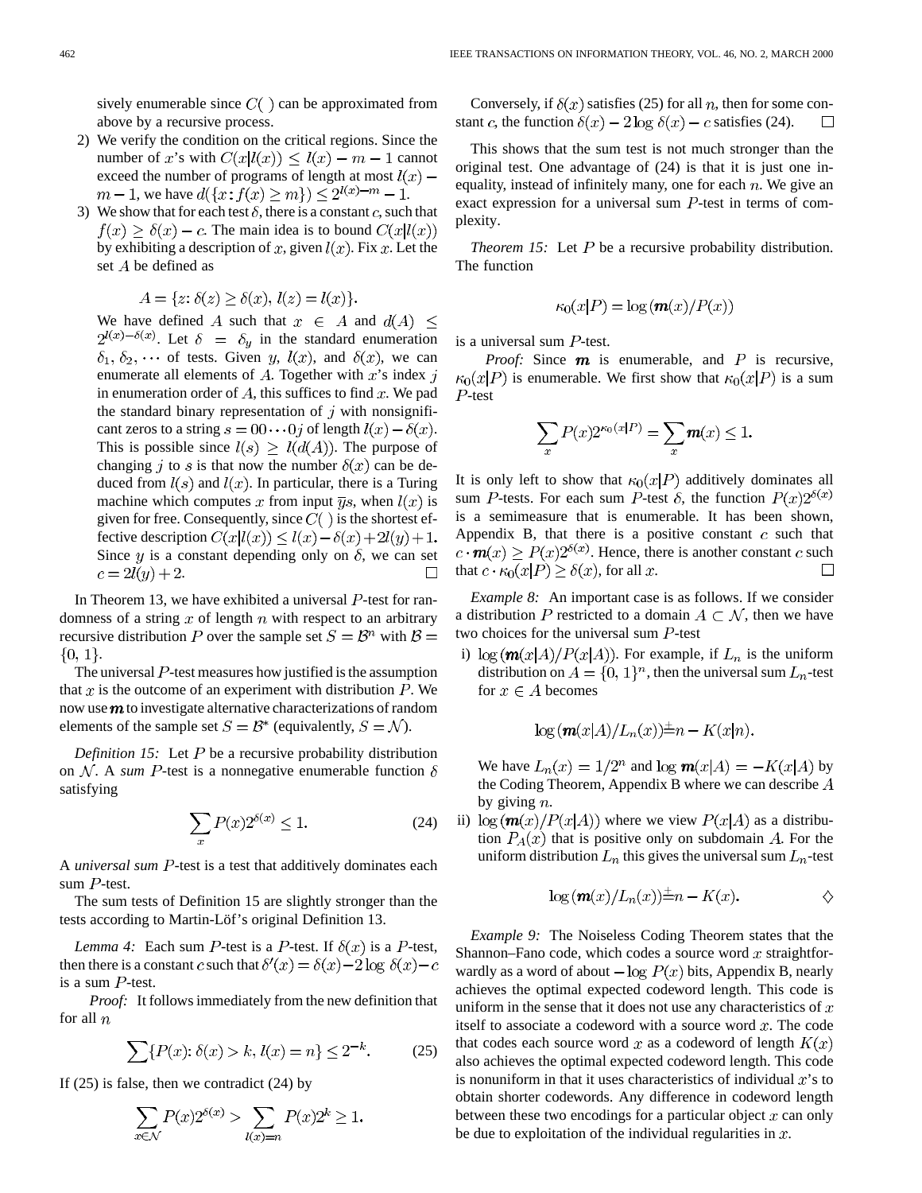sively enumerable since  $C()$  can be approximated from above by a recursive process.

- 2) We verify the condition on the critical regions. Since the number of x's with  $C(x|l(x)) \leq l(x) - m - 1$  cannot exceed the number of programs of length at most  $l(x)$  –  $m-1$ , we have  $d({x : f(x) \ge m}) \le 2^{l(x)-m} - 1$ .
- 3) We show that for each test  $\delta$ , there is a constant c, such that  $f(x) \geq \delta(x) - c$ . The main idea is to bound  $C(x|l(x))$ by exhibiting a description of x, given  $l(x)$ . Fix x. Let the set  $A$  be defined as

$$
A = \{z \colon \delta(z) \ge \delta(x), \, l(z) = l(x) \}.
$$

We have defined A such that  $x \in A$  and  $d(A) \leq$  $2^{l(x)-\delta(x)}$ . Let  $\delta = \delta_y$  in the standard enumeration  $\delta_1, \delta_2, \cdots$  of tests. Given y,  $l(x)$ , and  $\delta(x)$ , we can enumerate all elements of A. Together with  $x$ 's index  $j$ in enumeration order of A, this suffices to find x. We pad the standard binary representation of  $j$  with nonsignificant zeros to a string  $s = 00 \cdots 0j$  of length  $l(x) - \delta(x)$ . This is possible since  $l(s) \geq l(d(A))$ . The purpose of changing j to s is that now the number  $\delta(x)$  can be deduced from  $l(s)$  and  $l(x)$ . In particular, there is a Turing machine which computes x from input  $\overline{y}s$ , when  $l(x)$  is given for free. Consequently, since  $C(\ )$  is the shortest effective description  $C(x|l(x)) \leq l(x) - \delta(x) + 2l(y) + 1$ . Since y is a constant depending only on  $\delta$ , we can set  $c = 2l(y) + 2.$ П

In Theorem 13, we have exhibited a universal  $P$ -test for randomness of a string  $x$  of length  $n$  with respect to an arbitrary recursive distribution P over the sample set  $S = \mathcal{B}^n$  with  $\mathcal{B} =$  $\{0, 1\}.$ 

The universal  $P$ -test measures how justified is the assumption that x is the outcome of an experiment with distribution  $P$ . We now use  $m$  to investigate alternative characterizations of random elements of the sample set  $S = \mathcal{B}^*$  (equivalently,  $S = \mathcal{N}$ ).

*Definition 15:* Let  $P$  be a recursive probability distribution on N. A *sum* P-test is a nonnegative enumerable function  $\delta$ satisfying

$$
\sum_{x} P(x)2^{\delta(x)} \le 1. \tag{24}
$$

A *universal sum P*-test is a test that additively dominates each sum  $P$ -test.

The sum tests of Definition 15 are slightly stronger than the tests according to Martin-Löf's original Definition 13.

*Lemma 4:* Each sum P-test is a P-test. If  $\delta(x)$  is a P-test, then there is a constant c such that  $\delta'(x) = \delta(x) - 2\log \delta(x) - c$ is a sum  $P$ -test.

*Proof:* It follows immediately from the new definition that for all  $n$ 

$$
\sum \{ P(x) \colon \delta(x) > k, \, l(x) = n \} \le 2^{-k}.\tag{25}
$$

If  $(25)$  is false, then we contradict  $(24)$  by

$$
\sum_{x \in \mathcal{N}} P(x) 2^{\delta(x)} > \sum_{l(x) = n} P(x) 2^k \ge 1.
$$

Conversely, if  $\delta(x)$  satisfies (25) for all n, then for some constant c, the function  $\delta(x) - 2\log \delta(x) - c$  satisfies (24).  $\Box$ 

This shows that the sum test is not much stronger than the original test. One advantage of (24) is that it is just one inequality, instead of infinitely many, one for each  $n$ . We give an exact expression for a universal sum  $P$ -test in terms of complexity.

*Theorem 15:* Let  $P$  be a recursive probability distribution. The function

$$
\kappa_0(x|P) = \log(\mathbf{m}(x)/P(x))
$$

is a universal sum  $P$ -test.

*Proof:* Since  $\boldsymbol{m}$  is enumerable, and  $P$  is recursive,  $\kappa_0(x|P)$  is enumerable. We first show that  $\kappa_0(x|P)$  is a sum  $P$ -test

$$
\sum_{x} P(x) 2^{\kappa_0(x|P)} = \sum_{x} \mathbf{m}(x) \le 1.
$$

It is only left to show that  $\kappa_0(x|P)$  additively dominates all sum P-tests. For each sum P-test  $\delta$ , the function  $P(x)2^{\delta(x)}$ is a semimeasure that is enumerable. It has been shown, Appendix B, that there is a positive constant  $c$  such that  $c \cdot \mathbf{m}(x) \ge P(x)2^{\delta(x)}$ . Hence, there is another constant c such that  $c \cdot \kappa_0(x|P) \ge \delta(x)$ , for all x.  $\Box$ 

*Example 8:* An important case is as follows. If we consider a distribution P restricted to a domain  $A \subset \mathcal{N}$ , then we have two choices for the universal sum  $P$ -test

i)  $\log(\mathbf{m}(x|A)/P(x|A))$ . For example, if  $L_n$  is the uniform distribution on  $A = \{0, 1\}^n$ , then the universal sum  $L_n$ -test for  $x \in A$  becomes

$$
\log(\mathbf{m}(x|A)/L_n(x))\dot{=}n-K(x|n).
$$

We have  $L_n(x) = 1/2^n$  and  $\log m(x|A) = -K(x|A)$  by the Coding Theorem, Appendix B where we can describe  $A$ by giving  $n$ .

ii)  $\log(\mathbf{m}(x)/P(x|A))$  where we view  $P(x|A)$  as a distribution  $P_A(x)$  that is positive only on subdomain A. For the uniform distribution  $L_n$  this gives the universal sum  $L_n$ -test

$$
\log\left(\mathbf{m}(x)/L_n(x)\right) = n - K(x). \qquad \diamond
$$

*Example 9:* The Noiseless Coding Theorem states that the Shannon–Fano code, which codes a source word  $x$  straightforwardly as a word of about  $-\log P(x)$  bits, Appendix B, nearly achieves the optimal expected codeword length. This code is uniform in the sense that it does not use any characteristics of  $x$ itself to associate a codeword with a source word  $x$ . The code that codes each source word x as a codeword of length  $K(x)$ also achieves the optimal expected codeword length. This code is nonuniform in that it uses characteristics of individual  $x$ 's to obtain shorter codewords. Any difference in codeword length between these two encodings for a particular object  $x$  can only be due to exploitation of the individual regularities in  $x$ .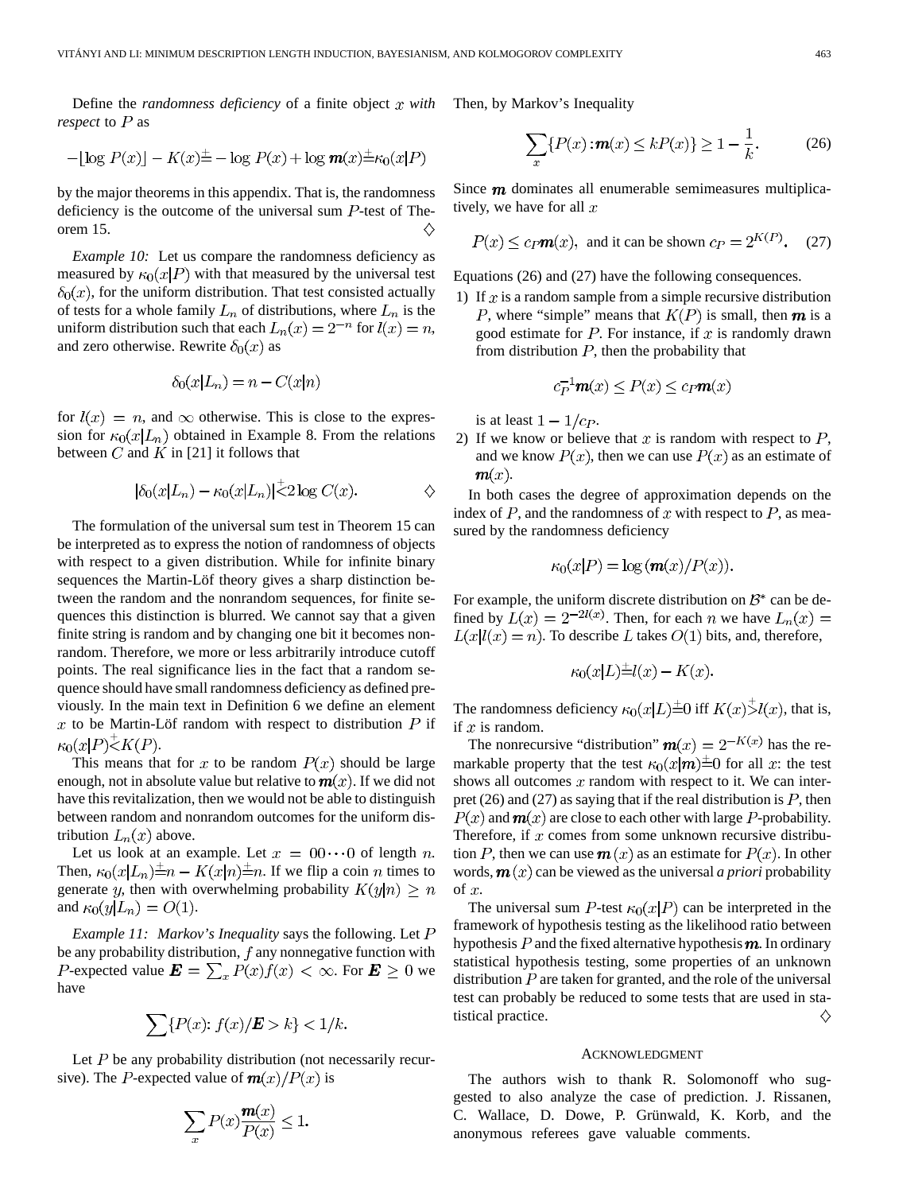Define the *randomness deficiency* of a finite object *with respect* to  $P$  as

$$
-[\log P(x)] - K(x) \stackrel{+}{=} -\log P(x) + \log \mathbf{m}(x) \stackrel{+}{=} \kappa_0(x)P
$$

by the major theorems in this appendix. That is, the randomness deficiency is the outcome of the universal sum  $P$ -test of Theorem 15. ♦

*Example 10:* Let us compare the randomness deficiency as measured by  $\kappa_0(x|P)$  with that measured by the universal test  $\delta_0(x)$ , for the uniform distribution. That test consisted actually of tests for a whole family  $L_n$  of distributions, where  $L_n$  is the uniform distribution such that each  $L_n(x) = 2^{-n}$  for  $l(x) = n$ , and zero otherwise. Rewrite  $\delta_0(x)$  as

$$
\delta_0(x|L_n) = n - C(x|n)
$$

for  $l(x) = n$ , and  $\infty$  otherwise. This is close to the expression for  $\kappa_0(x|L_n)$  obtained in Example 8. From the relations between C and K in [21] it follows that

$$
|\delta_0(x|L_n) - \kappa_0(x|L_n)| < 2 \log C(x).
$$

The formulation of the universal sum test in Theorem 15 can be interpreted as to express the notion of randomness of objects with respect to a given distribution. While for infinite binary sequences the Martin-Löf theory gives a sharp distinction between the random and the nonrandom sequences, for finite sequences this distinction is blurred. We cannot say that a given finite string is random and by changing one bit it becomes nonrandom. Therefore, we more or less arbitrarily introduce cutoff points. The real significance lies in the fact that a random sequence should have small randomness deficiency as defined previously. In the main text in Definition 6 we define an element x to be Martin-Löf random with respect to distribution  $P$  if  $\kappa_0(x|P) \prec K(P)$ .

This means that for x to be random  $P(x)$  should be large enough, not in absolute value but relative to  $m(x)$ . If we did not have this revitalization, then we would not be able to distinguish between random and nonrandom outcomes for the uniform distribution  $L_n(x)$  above.

Let us look at an example. Let  $x = 00 \cdots 0$  of length n. Then,  $\kappa_0(x|L_n) \pm n - K(x|n) \pm n$ . If we flip a coin *n* times to generate y, then with overwhelming probability  $K(y|n) \geq n$ and  $\kappa_0(y|L_n) = O(1)$ .

*Example 11: Markov's Inequality* says the following. Let P be any probability distribution,  $f$  any nonnegative function with *P*-expected value  $\mathbf{E} = \sum_{x} P(x) f(x) < \infty$ . For  $\mathbf{E} \ge 0$  we have

$$
\sum \{P(x): f(x)/E > k\} < 1/k.
$$

Let  $P$  be any probability distribution (not necessarily recursive). The P-expected value of  $\mathbf{m}(x)/P(x)$  is

$$
\sum_{x} P(x) \frac{\mathbf{m}(x)}{P(x)} \le 1.
$$

 $\mathbb{R}^{\mathbb{Z}}$ 

Then, by Markov's Inequality

$$
\sum_{x} \{P(x) : \mathbf{m}(x) \le kP(x)\} \ge 1 - \frac{1}{k}.
$$
 (26)

Since  $m$  dominates all enumerable semimeasures multiplicatively, we have for all  $x$ 

$$
P(x) \le c_P m(x)
$$
, and it can be shown  $c_P = 2^{K(P)}$ . (27)

Equations (26) and (27) have the following consequences.

1) If  $x$  is a random sample from a simple recursive distribution P, where "simple" means that  $K(P)$  is small, then  $m$  is a good estimate for  $P$ . For instance, if  $x$  is randomly drawn from distribution  $P$ , then the probability that

$$
c_P^{-1}m(x) \le P(x) \le c_Pm(x)
$$

is at least  $1 - 1/c_P$ .

2) If we know or believe that x is random with respect to  $P$ , and we know  $P(x)$ , then we can use  $P(x)$  as an estimate of  $m(x)$ .

In both cases the degree of approximation depends on the index of  $P$ , and the randomness of  $x$  with respect to  $P$ , as measured by the randomness deficiency

$$
\kappa_0(x|P) = \log(\mathbf{m}(x)/P(x)).
$$

For example, the uniform discrete distribution on  $\mathcal{B}^*$  can be defined by  $L(x) = 2^{-2l(x)}$ . Then, for each n we have  $L_n(x) =$  $L(x|l(x) = n)$ . To describe L takes  $O(1)$  bits, and, therefore,

$$
\kappa_0(x|L) \pm l(x) - K(x).
$$

The randomness deficiency  $\kappa_0(x|L) \stackrel{+}{=} 0$  iff  $K(x) \stackrel{+}{>} l(x)$ , that is, if  $x$  is random.

The nonrecursive "distribution"  $m(x) = 2^{-K(x)}$  has the remarkable property that the test  $\kappa_0(x|\mathbf{m})\pm 0$  for all x: the test shows all outcomes  $x$  random with respect to it. We can interpret (26) and (27) as saying that if the real distribution is  $P$ , then  $P(x)$  and  $m(x)$  are close to each other with large P-probability. Therefore, if  $x$  comes from some unknown recursive distribution P, then we can use  $m(x)$  as an estimate for  $P(x)$ . In other words,  $\mathbf{m}(x)$  can be viewed as the universal *a priori* probability of  $x$ .

The universal sum P-test  $\kappa_0(x|P)$  can be interpreted in the framework of hypothesis testing as the likelihood ratio between hypothesis  $P$  and the fixed alternative hypothesis  $m$ . In ordinary statistical hypothesis testing, some properties of an unknown distribution  $P$  are taken for granted, and the role of the universal test can probably be reduced to some tests that are used in statistical practice. ♦

#### ACKNOWLEDGMENT

The authors wish to thank R. Solomonoff who suggested to also analyze the case of prediction. J. Rissanen, C. Wallace, D. Dowe, P. Grünwald, K. Korb, and the anonymous referees gave valuable comments.